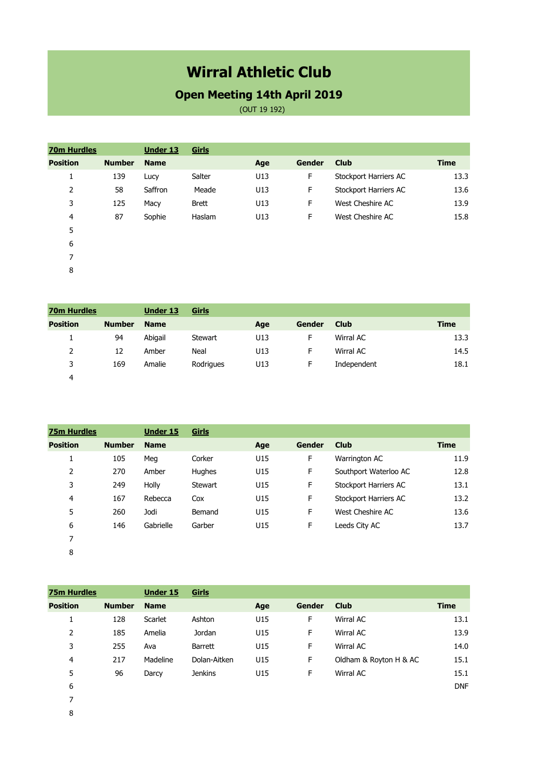## **Wirral Athletic Club**

## **Open Meeting 14th April 2019**

(OUT 19 192)

| <b>70m Hurdles</b> |               | <b>Under 13</b> | Girls        |     |               |                              |             |
|--------------------|---------------|-----------------|--------------|-----|---------------|------------------------------|-------------|
| <b>Position</b>    | <b>Number</b> | <b>Name</b>     |              | Age | <b>Gender</b> | <b>Club</b>                  | <b>Time</b> |
| л.                 | 139           | Lucy            | Salter       | U13 | F             | Stockport Harriers AC        | 13.3        |
| 2                  | 58            | Saffron         | Meade        | U13 | F             | <b>Stockport Harriers AC</b> | 13.6        |
| 3                  | 125           | Macy            | <b>Brett</b> | U13 | F             | West Cheshire AC             | 13.9        |
| 4                  | 87            | Sophie          | Haslam       | U13 | F             | West Cheshire AC             | 15.8        |
| 5                  |               |                 |              |     |               |                              |             |
| 6                  |               |                 |              |     |               |                              |             |

| <b>70m Hurdles</b> |               | <b>Under 13</b> | Girls     |     |        |             |             |
|--------------------|---------------|-----------------|-----------|-----|--------|-------------|-------------|
| <b>Position</b>    | <b>Number</b> | <b>Name</b>     |           | Age | Gender | Club        | <b>Time</b> |
|                    | 94            | Abigail         | Stewart   | U13 | F      | Wirral AC   | 13.3        |
| 2                  | 12            | Amber           | Neal      | U13 | F      | Wirral AC   | 14.5        |
| 3                  | 169           | Amalie          | Rodrigues | U13 | F      | Independent | 18.1        |
| 4                  |               |                 |           |     |        |             |             |

| <b>75m Hurdles</b> |               | <b>Under 15</b> | Girls   |     |               |                       |             |
|--------------------|---------------|-----------------|---------|-----|---------------|-----------------------|-------------|
| <b>Position</b>    | <b>Number</b> | <b>Name</b>     |         | Age | <b>Gender</b> | <b>Club</b>           | <b>Time</b> |
| 1                  | 105           | Meg             | Corker  | U15 | F             | Warrington AC         | 11.9        |
| $\overline{2}$     | 270           | Amber           | Hughes  | U15 | F             | Southport Waterloo AC | 12.8        |
| 3                  | 249           | Holly           | Stewart | U15 | F             | Stockport Harriers AC | 13.1        |
| 4                  | 167           | Rebecca         | Cox     | U15 | F             | Stockport Harriers AC | 13.2        |
| 5                  | 260           | Jodi            | Bemand  | U15 | F             | West Cheshire AC      | 13.6        |
| 6                  | 146           | Gabrielle       | Garber  | U15 | F             | Leeds City AC         | 13.7        |
| 7                  |               |                 |         |     |               |                       |             |
| 8                  |               |                 |         |     |               |                       |             |

| <b>75m Hurdles</b> |               | <b>Under 15</b> | Girls          |     |               |                        |             |
|--------------------|---------------|-----------------|----------------|-----|---------------|------------------------|-------------|
| <b>Position</b>    | <b>Number</b> | <b>Name</b>     |                | Age | <b>Gender</b> | <b>Club</b>            | <b>Time</b> |
| 1                  | 128           | Scarlet         | Ashton         | U15 | F             | Wirral AC              | 13.1        |
| 2                  | 185           | Amelia          | Jordan         | U15 | F             | Wirral AC              | 13.9        |
| 3                  | 255           | Ava             | <b>Barrett</b> | U15 | F             | Wirral AC              | 14.0        |
| $\overline{4}$     | 217           | Madeline        | Dolan-Aitken   | U15 | F             | Oldham & Royton H & AC | 15.1        |
| 5                  | 96            | Darcy           | <b>Jenkins</b> | U15 | F             | Wirral AC              | 15.1        |
| 6                  |               |                 |                |     |               |                        | <b>DNF</b>  |
| 7                  |               |                 |                |     |               |                        |             |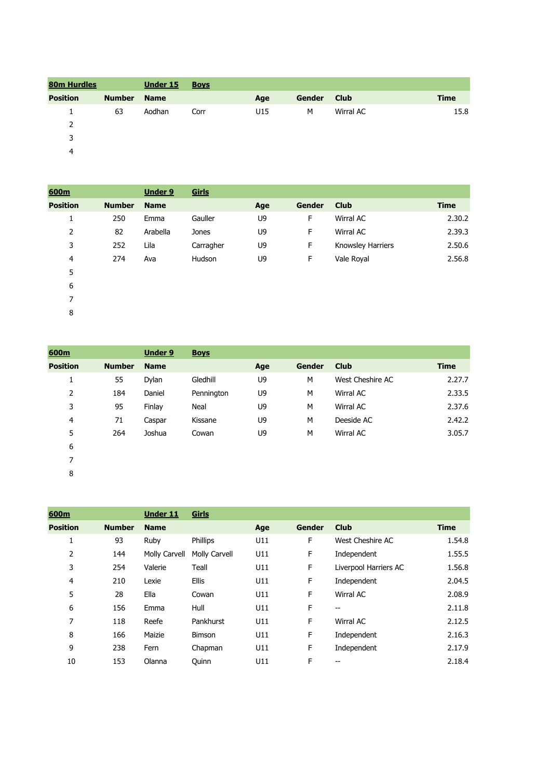| <b>80m Hurdles</b> |               | <b>Under 15</b> | <b>Boys</b> |     |        |             |             |
|--------------------|---------------|-----------------|-------------|-----|--------|-------------|-------------|
| <b>Position</b>    | <b>Number</b> | <b>Name</b>     |             | Age | Gender | <b>Club</b> | <b>Time</b> |
|                    | 63            | Aodhan          | Corr        | U15 | M      | Wirral AC   | 15.8        |
| 2                  |               |                 |             |     |        |             |             |
| 3                  |               |                 |             |     |        |             |             |
| 4                  |               |                 |             |     |        |             |             |

| 600m            |               | <b>Under 9</b> | Girls     |     |               |                   |             |
|-----------------|---------------|----------------|-----------|-----|---------------|-------------------|-------------|
| <b>Position</b> | <b>Number</b> | <b>Name</b>    |           | Age | <b>Gender</b> | <b>Club</b>       | <b>Time</b> |
| 1               | 250           | Emma           | Gauller   | U9  | F             | Wirral AC         | 2.30.2      |
| 2               | 82            | Arabella       | Jones     | U9  | F             | Wirral AC         | 2.39.3      |
| 3               | 252           | Lila           | Carragher | U9  | F             | Knowsley Harriers | 2.50.6      |
| 4               | 274           | Ava            | Hudson    | U9  | F             | Vale Royal        | 2.56.8      |
| 5               |               |                |           |     |               |                   |             |
| 6               |               |                |           |     |               |                   |             |
| 7               |               |                |           |     |               |                   |             |

| 600m            |               | <b>Under 9</b> | <b>Boys</b> |     |               |                  |             |
|-----------------|---------------|----------------|-------------|-----|---------------|------------------|-------------|
| <b>Position</b> | <b>Number</b> | <b>Name</b>    |             | Age | <b>Gender</b> | <b>Club</b>      | <b>Time</b> |
| 1.<br>Ŧ.        | 55            | Dylan          | Gledhill    | U9  | M             | West Cheshire AC | 2.27.7      |
| 2               | 184           | Daniel         | Pennington  | U9  | M             | Wirral AC        | 2.33.5      |
| 3               | 95            | Finlay         | Neal        | U9  | M             | Wirral AC        | 2.37.f      |
| 4               | 71            | Caspar         | Kissane     | U9  | M             | Deeside AC       | 2.42.2      |
| 5               | 264           | Joshua         | Cowan       | U9  | M             | <b>Wirral AC</b> | 3.05.7      |
| 6               |               |                |             |     |               |                  |             |
| 7               |               |                |             |     |               |                  |             |

| 600m            |               | <b>Under 11</b> | Girls         |     |               |                       |             |
|-----------------|---------------|-----------------|---------------|-----|---------------|-----------------------|-------------|
| <b>Position</b> | <b>Number</b> | <b>Name</b>     |               | Age | <b>Gender</b> | <b>Club</b>           | <b>Time</b> |
| 1               | 93            | Ruby            | Phillips      | U11 | F             | West Cheshire AC      | 1.54.8      |
| 2               | 144           | Molly Carvell   | Molly Carvell | U11 | F             | Independent           | 1.55.5      |
| 3               | 254           | Valerie         | Teall         | U11 | F             | Liverpool Harriers AC | 1.56.8      |
| 4               | 210           | Lexie           | <b>Ellis</b>  | U11 | F             | Independent           | 2.04.5      |
| 5               | 28            | Ella            | Cowan         | U11 | F             | Wirral AC             | 2.08.9      |
| 6               | 156           | Emma            | Hull          | U11 | F             | --                    | 2.11.8      |
| 7               | 118           | Reefe           | Pankhurst     | U11 | F             | Wirral AC             | 2.12.5      |
| 8               | 166           | Maizie          | <b>Bimson</b> | U11 | F             | Independent           | 2.16.3      |
| 9               | 238           | Fern            | Chapman       | U11 | F             | Independent           | 2.17.9      |
| 10              | 153           | Olanna          | Quinn         | U11 | F             | --                    | 2.18.4      |
|                 |               |                 |               |     |               |                       |             |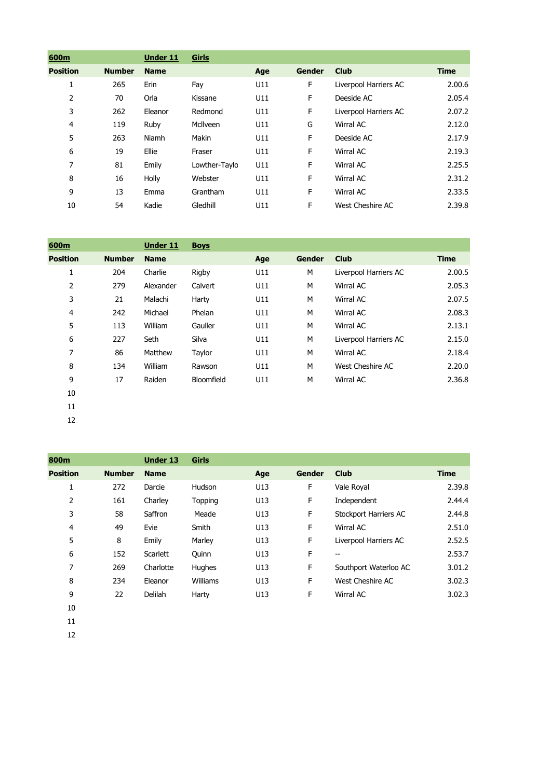| 600m            |               | <b>Under 11</b> | Girls         |     |        |                       |             |
|-----------------|---------------|-----------------|---------------|-----|--------|-----------------------|-------------|
| <b>Position</b> | <b>Number</b> | <b>Name</b>     |               | Age | Gender | <b>Club</b>           | <b>Time</b> |
| T               | 265           | Erin            | Fay           | U11 | F      | Liverpool Harriers AC | 2.00.6      |
| 2               | 70            | Orla            | Kissane       | U11 | F      | Deeside AC            | 2.05.4      |
| 3               | 262           | Eleanor         | Redmond       | U11 | F      | Liverpool Harriers AC | 2.07.2      |
| 4               | 119           | Ruby            | McIlveen      | U11 | G      | Wirral AC             | 2.12.0      |
| 5               | 263           | Niamh           | Makin         | U11 | F      | Deeside AC            | 2.17.9      |
| 6               | 19            | Ellie           | Fraser        | U11 | F      | Wirral AC             | 2.19.3      |
| 7               | 81            | Emily           | Lowther-Taylo | U11 | F      | Wirral AC             | 2.25.5      |
| 8               | 16            | Holly           | Webster       | U11 | F      | Wirral AC             | 2.31.2      |
| 9               | 13            | Emma            | Grantham      | U11 | F      | Wirral AC             | 2.33.5      |
| 10              | 54            | Kadie           | Gledhill      | U11 | F      | West Cheshire AC      | 2.39.8      |

| 600m            |               | <b>Under 11</b> | <b>Boys</b> |     |               |                       |             |
|-----------------|---------------|-----------------|-------------|-----|---------------|-----------------------|-------------|
| <b>Position</b> | <b>Number</b> | <b>Name</b>     |             | Age | <b>Gender</b> | <b>Club</b>           | <b>Time</b> |
| 1               | 204           | Charlie         | Rigby       | U11 | M             | Liverpool Harriers AC | 2.00.5      |
| 2               | 279           | Alexander       | Calvert     | U11 | M             | Wirral AC             | 2.05.3      |
| 3               | 21            | Malachi         | Harty       | U11 | M             | Wirral AC             | 2.07.5      |
| 4               | 242           | Michael         | Phelan      | U11 | M             | Wirral AC             | 2.08.3      |
| 5               | 113           | William         | Gauller     | U11 | M             | Wirral AC             | 2.13.1      |
| 6               | 227           | Seth            | Silva       | U11 | M             | Liverpool Harriers AC | 2.15.0      |
| 7               | 86            | Matthew         | Taylor      | U11 | M             | Wirral AC             | 2.18.4      |
| 8               | 134           | William         | Rawson      | U11 | M             | West Cheshire AC      | 2.20.0      |
| 9               | 17            | Raiden          | Bloomfield  | U11 | M             | Wirral AC             | 2.36.8      |
| 10              |               |                 |             |     |               |                       |             |

| 800m            |               | <b>Under 13</b> | Girls          |     |        |                              |             |
|-----------------|---------------|-----------------|----------------|-----|--------|------------------------------|-------------|
| <b>Position</b> | <b>Number</b> | <b>Name</b>     |                | Age | Gender | <b>Club</b>                  | <b>Time</b> |
|                 | 272           | Darcie          | Hudson         | U13 | F      | Vale Royal                   | 2.39.8      |
| 2               | 161           | Charley         | <b>Topping</b> | U13 | F      | Independent                  | 2.44.4      |
| 3               | 58            | Saffron         | Meade          | U13 | F      | <b>Stockport Harriers AC</b> | 2.44.8      |
| 4               | 49            | Evie            | Smith          | U13 | F      | Wirral AC                    | 2.51.0      |
| 5               | 8             | Emily           | Marley         | U13 | F      | Liverpool Harriers AC        | 2.52.5      |
| 6               | 152           | Scarlett        | Quinn          | U13 | F      | --                           | 2.53.7      |
| 7               | 269           | Charlotte       | Hughes         | U13 | F      | Southport Waterloo AC        | 3.01.2      |
| 8               | 234           | Eleanor         | Williams       | U13 | F      | West Cheshire AC             | 3.02.3      |
| 9               | 22            | Delilah         | Harty          | U13 | F      | Wirral AC                    | 3.02.3      |
| 10              |               |                 |                |     |        |                              |             |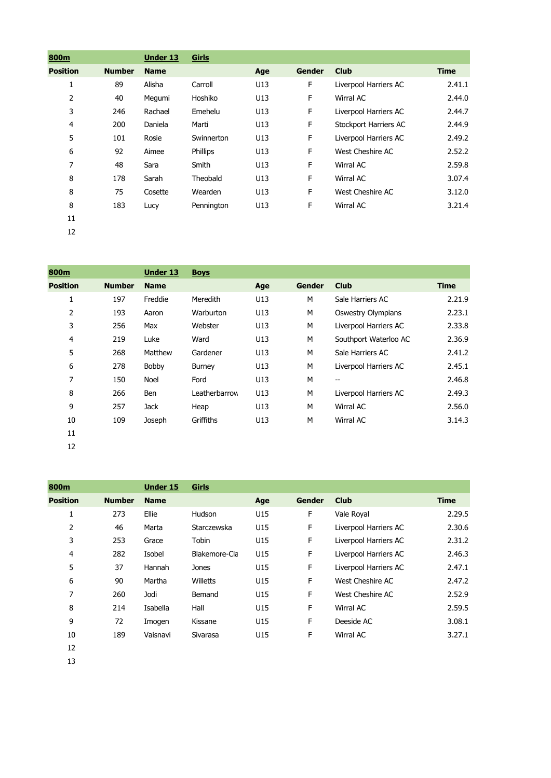| 800m            |               | Under 13    | Girls      |     |               |                       |             |
|-----------------|---------------|-------------|------------|-----|---------------|-----------------------|-------------|
| <b>Position</b> | <b>Number</b> | <b>Name</b> |            | Age | <b>Gender</b> | <b>Club</b>           | <b>Time</b> |
| 1               | 89            | Alisha      | Carroll    | U13 | F             | Liverpool Harriers AC | 2.41.1      |
| 2               | 40            | Megumi      | Hoshiko    | U13 | F             | Wirral AC             | 2.44.0      |
| 3               | 246           | Rachael     | Emehelu    | U13 | F             | Liverpool Harriers AC | 2.44.7      |
| 4               | 200           | Daniela     | Marti      | U13 | F             | Stockport Harriers AC | 2.44.9      |
| 5               | 101           | Rosie       | Swinnerton | U13 | F             | Liverpool Harriers AC | 2.49.2      |
| 6               | 92            | Aimee       | Phillips   | U13 | F             | West Cheshire AC      | 2.52.2      |
| 7               | 48            | Sara        | Smith      | U13 | F             | Wirral AC             | 2.59.8      |
| 8               | 178           | Sarah       | Theobald   | U13 | F             | Wirral AC             | 3.07.4      |
| 8               | 75            | Cosette     | Wearden    | U13 | F             | West Cheshire AC      | 3.12.0      |
| 8               | 183           | Lucy        | Pennington | U13 | F             | Wirral AC             | 3.21.4      |
| 11              |               |             |            |     |               |                       |             |
| 12              |               |             |            |     |               |                       |             |

| 800m            |               | <b>Under 13</b> | <b>Boys</b>     |     |               |                           |        |
|-----------------|---------------|-----------------|-----------------|-----|---------------|---------------------------|--------|
| <b>Position</b> | <b>Number</b> | <b>Name</b>     |                 | Age | <b>Gender</b> | <b>Club</b>               | Time   |
| 1               | 197           | Freddie         | <b>Meredith</b> | U13 | M             | Sale Harriers AC          | 2.21.9 |
| 2               | 193           | Aaron           | Warburton       | U13 | M             | <b>Oswestry Olympians</b> | 2.23.1 |
| 3               | 256           | Max             | Webster         | U13 | М             | Liverpool Harriers AC     | 2.33.8 |
| 4               | 219           | Luke            | Ward            | U13 | M             | Southport Waterloo AC     | 2.36.9 |
| 5               | 268           | Matthew         | Gardener        | U13 | M             | Sale Harriers AC          | 2.41.2 |
| 6               | 278           | Bobby           | <b>Burney</b>   | U13 | M             | Liverpool Harriers AC     | 2.45.1 |
| 7               | 150           | Noel            | Ford            | U13 | M             | --                        | 2.46.8 |
| 8               | 266           | Ben             | Leatherbarrow   | U13 | M             | Liverpool Harriers AC     | 2.49.3 |
| 9               | 257           | Jack            | Heap            | U13 | M             | Wirral AC                 | 2.56.0 |
| 10              | 109           | Joseph          | Griffiths       | U13 | M             | Wirral AC                 | 3.14.3 |
| 11              |               |                 |                 |     |               |                           |        |
| 12              |               |                 |                 |     |               |                           |        |

| 800m            |               | <b>Under 15</b> | Girls         |     |        |                       |        |
|-----------------|---------------|-----------------|---------------|-----|--------|-----------------------|--------|
| <b>Position</b> | <b>Number</b> | <b>Name</b>     |               | Age | Gender | <b>Club</b>           | Time   |
| 1               | 273           | Ellie           | Hudson        | U15 | F      | Vale Royal            | 2.29.5 |
| 2               | 46            | Marta           | Starczewska   | U15 | F      | Liverpool Harriers AC | 2.30.6 |
| 3               | 253           | Grace           | Tobin         | U15 | F      | Liverpool Harriers AC | 2.31.2 |
| 4               | 282           | Isobel          | Blakemore-Cla | U15 | F      | Liverpool Harriers AC | 2.46.3 |
| 5               | 37            | Hannah          | Jones         | U15 | F      | Liverpool Harriers AC | 2.47.1 |
| 6               | 90            | Martha          | Willetts      | U15 | F      | West Cheshire AC      | 2.47.2 |
| 7               | 260           | Jodi            | Bemand        | U15 | F      | West Cheshire AC      | 2.52.9 |
| 8               | 214           | Isabella        | Hall          | U15 | F      | Wirral AC             | 2.59.5 |
| 9               | 72            | Imogen          | Kissane       | U15 | F      | Deeside AC            | 3.08.1 |
| 10              | 189           | Vaisnavi        | Sivarasa      | U15 | F      | Wirral AC             | 3.27.1 |
| 12              |               |                 |               |     |        |                       |        |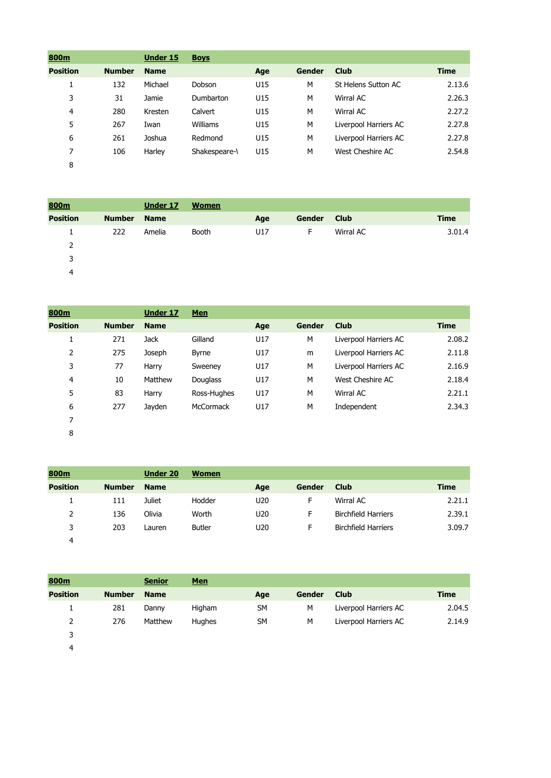| 800m            |               | <b>Under 15</b> | <b>Boys</b>   |     |        |                       |             |
|-----------------|---------------|-----------------|---------------|-----|--------|-----------------------|-------------|
| <b>Position</b> | <b>Number</b> | <b>Name</b>     |               | Age | Gender | <b>Club</b>           | <b>Time</b> |
| ÷.              | 132           | Michael         | Dobson        | U15 | M      | St Helens Sutton AC   | 2.13.6      |
| 3               | 31            | Jamie           | Dumbarton     | U15 | M      | Wirral AC             | 2.26.3      |
| $\overline{4}$  | 280           | Kresten         | Calvert       | U15 | M      | Wirral AC             | 2.27.2      |
| 5               | 267           | Iwan            | Williams      | U15 | M      | Liverpool Harriers AC | 2.27.8      |
| 6               | 261           | Joshua          | Redmond       | U15 | M      | Liverpool Harriers AC | 2.27.8      |
| 7               | 106           | Harley          | Shakespeare-\ | U15 | M      | West Cheshire AC      | 2.54.8      |
| 8               |               |                 |               |     |        |                       |             |

| 800m            |               | Under 17    | <b>Women</b> |     |        |             |             |
|-----------------|---------------|-------------|--------------|-----|--------|-------------|-------------|
| <b>Position</b> | <b>Number</b> | <b>Name</b> |              | Age | Gender | <b>Club</b> | <b>Time</b> |
|                 | 222           | Amelia      | Booth        | U17 | F.     | Wirral AC   | 3.01.4      |
| 2               |               |             |              |     |        |             |             |
| 3               |               |             |              |     |        |             |             |
| 4               |               |             |              |     |        |             |             |

| 800m            |               | <b>Under 17</b> | <b>Men</b>      |     |        |                       |             |
|-----------------|---------------|-----------------|-----------------|-----|--------|-----------------------|-------------|
| <b>Position</b> | <b>Number</b> | <b>Name</b>     |                 | Age | Gender | <b>Club</b>           | <b>Time</b> |
| 1               | 271           | <b>Jack</b>     | Gilland         | U17 | M      | Liverpool Harriers AC | 2.08.2      |
| 2               | 275           | Joseph          | <b>Byrne</b>    | U17 | m      | Liverpool Harriers AC | 2.11.8      |
| 3               | 77            | Harry           | Sweeney         | U17 | M      | Liverpool Harriers AC | 2.16.9      |
| $\overline{4}$  | 10            | Matthew         | <b>Douglass</b> | U17 | M      | West Cheshire AC      | 2.18.4      |
| 5               | 83            | Harry           | Ross-Hughes     | U17 | M      | Wirral AC             | 2.21.1      |
| 6               | 277           | Jayden          | McCormack       | U17 | M      | Independent           | 2.34.3      |
| 7               |               |                 |                 |     |        |                       |             |
| 8               |               |                 |                 |     |        |                       |             |

| 800m            |               | <b>Under 20</b> | <b>Women</b>  |                 |        |                            |        |
|-----------------|---------------|-----------------|---------------|-----------------|--------|----------------------------|--------|
| <b>Position</b> | <b>Number</b> | <b>Name</b>     |               | Age             | Gender | <b>Club</b>                | Time   |
|                 | 111           | <b>Juliet</b>   | Hodder        | U <sub>20</sub> | F      | Wirral AC                  | 2.21.1 |
| 2               | 136           | Olivia          | Worth         | U20             | F      | <b>Birchfield Harriers</b> | 2.39.1 |
| 3               | 203           | Lauren          | <b>Butler</b> | U20             | F      | <b>Birchfield Harriers</b> | 3.09.7 |
| 4               |               |                 |               |                 |        |                            |        |

| 800m            |               | <b>Senior</b> | <u>Men</u> |           |               |                       |        |
|-----------------|---------------|---------------|------------|-----------|---------------|-----------------------|--------|
| <b>Position</b> | <b>Number</b> | <b>Name</b>   |            | Age       | <b>Gender</b> | Club                  | Time   |
|                 | 281           | Danny         | Higham     | <b>SM</b> | M             | Liverpool Harriers AC | 2.04.5 |
| 2               | 276           | Matthew       | Hughes     | <b>SM</b> | M             | Liverpool Harriers AC | 2.14.9 |
| 3               |               |               |            |           |               |                       |        |
| 4               |               |               |            |           |               |                       |        |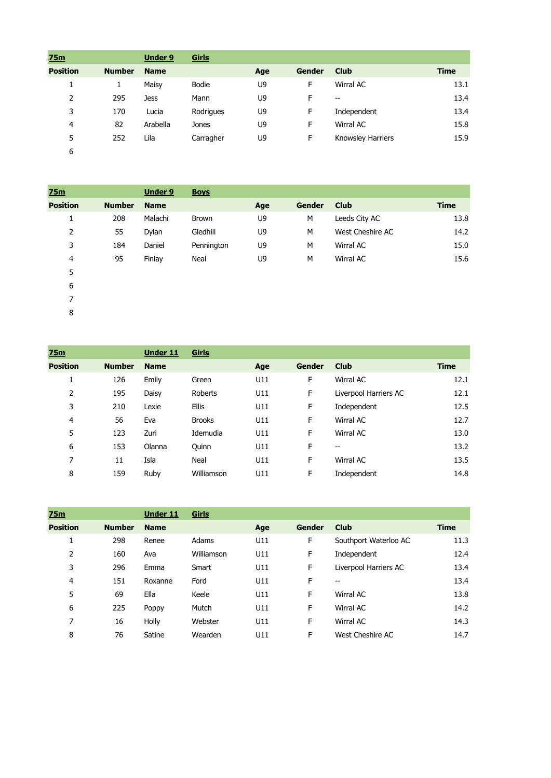| 25m             |               | <b>Under 9</b> | Girls     |     |        |                   |             |
|-----------------|---------------|----------------|-----------|-----|--------|-------------------|-------------|
| <b>Position</b> | <b>Number</b> | <b>Name</b>    |           | Age | Gender | <b>Club</b>       | <b>Time</b> |
| ÷.              | Ŧ.            | Maisy          | Bodie     | U9  | F      | Wirral AC         | 13.1        |
| 2               | 295           | <b>Jess</b>    | Mann      | U9  | F      | $- -$             | 13.4        |
| 3               | 170           | Lucia          | Rodrigues | U9  | F      | Independent       | 13.4        |
| 4               | 82            | Arabella       | Jones     | U9  | F      | Wirral AC         | 15.8        |
| 5               | 252           | Lila           | Carragher | U9  | F      | Knowsley Harriers | 15.9        |
| 6               |               |                |           |     |        |                   |             |

| 75m             |               | <b>Under 9</b> | <b>Boys</b>  |     |               |                  |             |
|-----------------|---------------|----------------|--------------|-----|---------------|------------------|-------------|
| <b>Position</b> | <b>Number</b> | <b>Name</b>    |              | Age | <b>Gender</b> | <b>Club</b>      | <b>Time</b> |
| 1               | 208           | Malachi        | <b>Brown</b> | U9  | M             | Leeds City AC    | 13.8        |
| 2               | 55            | Dylan          | Gledhill     | U9  | M             | West Cheshire AC | 14.2        |
| 3               | 184           | Daniel         | Pennington   | U9  | M             | Wirral AC        | 15.0        |
| 4               | 95            | Finlay         | Neal         | U9  | M             | Wirral AC        | 15.6        |
| 5               |               |                |              |     |               |                  |             |
| 6               |               |                |              |     |               |                  |             |

| 75m             |               | <b>Under 11</b> | Girls         |     |               |                          |             |
|-----------------|---------------|-----------------|---------------|-----|---------------|--------------------------|-------------|
| <b>Position</b> | <b>Number</b> | <b>Name</b>     |               | Age | <b>Gender</b> | <b>Club</b>              | <b>Time</b> |
| 1<br>ı.         | 126           | Emily           | Green         | U11 | F             | Wirral AC                | 12.1        |
| 2               | 195           | Daisy           | Roberts       | U11 | F             | Liverpool Harriers AC    | 12.1        |
| 3               | 210           | Lexie           | <b>Ellis</b>  | U11 | F             | Independent              | 12.5        |
| 4               | 56            | Eva             | <b>Brooks</b> | U11 | F             | Wirral AC                | 12.7        |
| 5               | 123           | Zuri            | Idemudia      | U11 | F             | Wirral AC                | 13.0        |
| 6               | 153           | Olanna          | Quinn         | U11 | F             | $\overline{\phantom{a}}$ | 13.2        |
| 7               | 11            | Isla            | Neal          | U11 | F             | Wirral AC                | 13.5        |
| 8               | 159           | Ruby            | Williamson    | U11 | F             | Independent              | 14.8        |

| 75m             |               | <b>Under 11</b> | Girls      |     |        |                       |             |
|-----------------|---------------|-----------------|------------|-----|--------|-----------------------|-------------|
| <b>Position</b> | <b>Number</b> | <b>Name</b>     |            | Age | Gender | <b>Club</b>           | <b>Time</b> |
| 1               | 298           | Renee           | Adams      | U11 | F      | Southport Waterloo AC | 11.3        |
| 2               | 160           | Ava             | Williamson | U11 | F      | Independent           | 12.4        |
| 3               | 296           | Emma            | Smart      | U11 | F      | Liverpool Harriers AC | 13.4        |
| 4               | 151           | Roxanne         | Ford       | U11 | F      | $- -$                 | 13.4        |
| 5               | 69            | Ella            | Keele      | U11 | F      | Wirral AC             | 13.8        |
| 6               | 225           | Poppy           | Mutch      | U11 | F      | Wirral AC             | 14.2        |
| 7               | 16            | Holly           | Webster    | U11 | F      | Wirral AC             | 14.3        |
| 8               | 76            | Satine          | Wearden    | U11 | F      | West Cheshire AC      | 14.7        |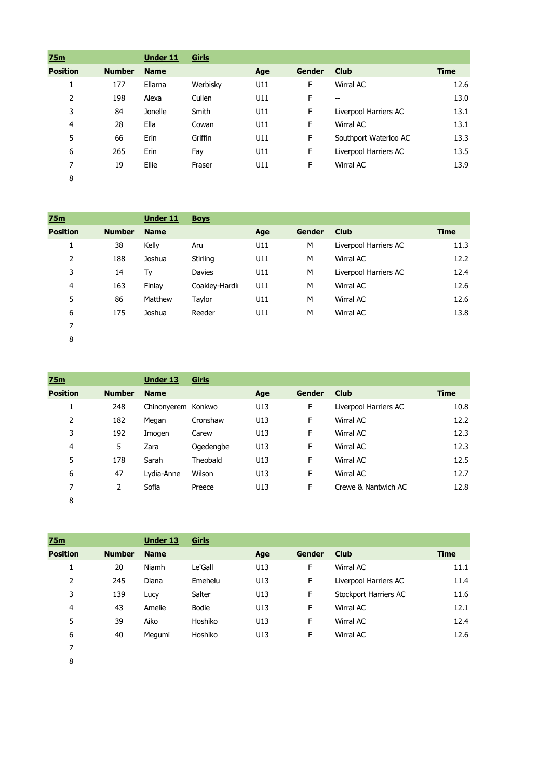| 75m             |               | <b>Under 11</b> | Girls    |     |        |                       |             |
|-----------------|---------------|-----------------|----------|-----|--------|-----------------------|-------------|
| <b>Position</b> | <b>Number</b> | <b>Name</b>     |          | Age | Gender | <b>Club</b>           | <b>Time</b> |
| Ŧ.              | 177           | Ellarna         | Werbisky | U11 | F      | Wirral AC             | 12.6        |
| 2               | 198           | Alexa           | Cullen   | U11 | F      | $-$                   | 13.0        |
| 3               | 84            | Jonelle         | Smith    | U11 | F      | Liverpool Harriers AC | 13.1        |
| 4               | 28            | Ella            | Cowan    | U11 | F      | Wirral AC             | 13.1        |
| 5               | 66            | Erin            | Griffin  | U11 | F      | Southport Waterloo AC | 13.3        |
| 6               | 265           | Erin            | Fay      | U11 | F      | Liverpool Harriers AC | 13.5        |
| 7               | 19            | Ellie           | Fraser   | U11 | F      | Wirral AC             | 13.9        |
| 8               |               |                 |          |     |        |                       |             |

| 75m             |               | <b>Under 11</b> | <b>Boys</b>   |     |               |                       |             |
|-----------------|---------------|-----------------|---------------|-----|---------------|-----------------------|-------------|
| <b>Position</b> | <b>Number</b> | <b>Name</b>     |               | Age | <b>Gender</b> | <b>Club</b>           | <b>Time</b> |
| Ŧ.              | 38            | Kelly           | Aru           | U11 | M             | Liverpool Harriers AC | 11.3        |
| 2               | 188           | Joshua          | Stirling      | U11 | M             | Wirral AC             | 12.2        |
| 3               | 14            | Ty              | Davies        | U11 | M             | Liverpool Harriers AC | 12.4        |
| 4               | 163           | Finlay          | Coakley-Hardi | U11 | M             | Wirral AC             | 12.6        |
| 5               | 86            | Matthew         | Taylor        | U11 | M             | Wirral AC             | 12.6        |
| 6               | 175           | Joshua          | Reeder        | U11 | M             | Wirral AC             | 13.8        |
| 7               |               |                 |               |     |               |                       |             |
| 8               |               |                 |               |     |               |                       |             |

**75m Under 13 Girls Position Number Name Age Gender Club Time** 248 Chinonyerem Konkwo U13 F Liverpool Harriers AC 10.8 182 Megan Cronshaw U13 F Wirral AC 12.2 192 Imogen Carew U13 F Wirral AC 12.3 5 Zara Ogedengbe U13 F Wirral AC 12.3 178 Sarah Theobald U13 F Wirral AC 12.5 47 Lydia-Anne Wilson U13 F Wirral AC 12.7 7 2 Sofia Preece U13 F Crewe & Nantwich AC 12.8 

| 75m             |               | <b>Under 13</b> | Girls   |     |               |                       |             |
|-----------------|---------------|-----------------|---------|-----|---------------|-----------------------|-------------|
| <b>Position</b> | <b>Number</b> | <b>Name</b>     |         | Age | <b>Gender</b> | <b>Club</b>           | <b>Time</b> |
|                 | 20            | Niamh           | Le'Gall | U13 | F             | Wirral AC             | 11.1        |
| 2               | 245           | Diana           | Emehelu | U13 | F             | Liverpool Harriers AC | 11.4        |
| 3               | 139           | Lucy            | Salter  | U13 | F             | Stockport Harriers AC | 11.6        |
| 4               | 43            | Amelie          | Bodie   | U13 | F             | Wirral AC             | 12.1        |
| 5               | 39            | Aiko            | Hoshiko | U13 | F             | Wirral AC             | 12.4        |
| 6               | 40            | Megumi          | Hoshiko | U13 | F             | Wirral AC             | 12.6        |
| 7               |               |                 |         |     |               |                       |             |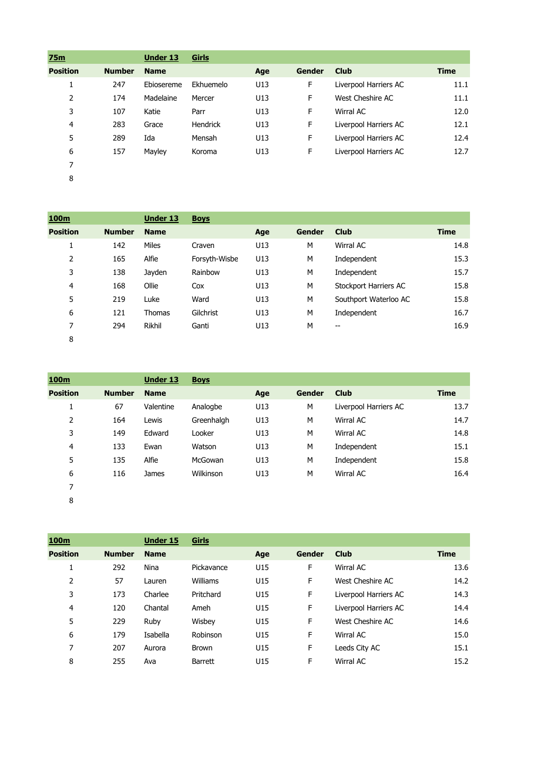| 75m             |               | <b>Under 13</b> | Girls     |     |               |                       |             |
|-----------------|---------------|-----------------|-----------|-----|---------------|-----------------------|-------------|
| <b>Position</b> | <b>Number</b> | <b>Name</b>     |           | Age | <b>Gender</b> | <b>Club</b>           | <b>Time</b> |
| Ŧ.              | 247           | Ebiosereme      | Ekhuemelo | U13 | F             | Liverpool Harriers AC | 11.1        |
| 2               | 174           | Madelaine       | Mercer    | U13 | F             | West Cheshire AC      | 11.1        |
| 3               | 107           | Katie           | Parr      | U13 | F             | Wirral AC             | 12.0        |
| 4               | 283           | Grace           | Hendrick  | U13 | F             | Liverpool Harriers AC | 12.1        |
| 5               | 289           | Ida             | Mensah    | U13 | F             | Liverpool Harriers AC | 12.4        |
| 6               | 157           | Mayley          | Koroma    | U13 | F             | Liverpool Harriers AC | 12.7        |
| 7               |               |                 |           |     |               |                       |             |
| 8               |               |                 |           |     |               |                       |             |

| 100m            |               | <b>Under 13</b> | <b>Boys</b>   |     |               |                       |             |
|-----------------|---------------|-----------------|---------------|-----|---------------|-----------------------|-------------|
| <b>Position</b> | <b>Number</b> | <b>Name</b>     |               | Age | <b>Gender</b> | <b>Club</b>           | <b>Time</b> |
| 1               | 142           | Miles           | Craven        | U13 | M             | Wirral AC             | 14.8        |
| $\overline{2}$  | 165           | Alfie           | Forsyth-Wisbe | U13 | M             | Independent           | 15.3        |
| 3               | 138           | Jayden          | Rainbow       | U13 | M             | Independent           | 15.7        |
| 4               | 168           | Ollie           | Cox           | U13 | M             | Stockport Harriers AC | 15.8        |
| 5               | 219           | Luke            | Ward          | U13 | M             | Southport Waterloo AC | 15.8        |
| 6               | 121           | <b>Thomas</b>   | Gilchrist     | U13 | M             | Independent           | 16.7        |
| 7               | 294           | Rikhil          | Ganti         | U13 | M             | --                    | 16.9        |
| 8               |               |                 |               |     |               |                       |             |

| 100 <sub>m</sub> |               | <b>Under 13</b> | <b>Boys</b> |     |        |                       |             |
|------------------|---------------|-----------------|-------------|-----|--------|-----------------------|-------------|
| <b>Position</b>  | <b>Number</b> | <b>Name</b>     |             | Age | Gender | <b>Club</b>           | <b>Time</b> |
| ┻                | 67            | Valentine       | Analogbe    | U13 | M      | Liverpool Harriers AC | 13.7        |
| 2                | 164           | Lewis           | Greenhalgh  | U13 | M      | Wirral AC             | 14.7        |
| 3                | 149           | Edward          | Looker      | U13 | M      | Wirral AC             | 14.8        |
| 4                | 133           | Ewan            | Watson      | U13 | M      | Independent           | 15.1        |
| 5                | 135           | Alfie           | McGowan     | U13 | M      | Independent           | 15.8        |
| 6                | 116           | <b>James</b>    | Wilkinson   | U13 | M      | Wirral AC             | 16.4        |
| 7                |               |                 |             |     |        |                       |             |

| 100m            |               | <b>Under 15</b> | <b>Girls</b>   |     |        |                       |             |
|-----------------|---------------|-----------------|----------------|-----|--------|-----------------------|-------------|
| <b>Position</b> | <b>Number</b> | <b>Name</b>     |                | Age | Gender | <b>Club</b>           | <b>Time</b> |
| 1               | 292           | <b>Nina</b>     | Pickavance     | U15 | F      | Wirral AC             | 13.6        |
| 2               | 57            | Lauren          | Williams       | U15 | F      | West Cheshire AC      | 14.2        |
| 3               | 173           | Charlee         | Pritchard      | U15 | F      | Liverpool Harriers AC | 14.3        |
| $\overline{4}$  | 120           | Chantal         | Ameh           | U15 | F      | Liverpool Harriers AC | 14.4        |
| 5               | 229           | Ruby            | Wisbey         | U15 | F      | West Cheshire AC      | 14.6        |
| 6               | 179           | Isabella        | Robinson       | U15 | F      | Wirral AC             | 15.0        |
| 7               | 207           | Aurora          | <b>Brown</b>   | U15 | F      | Leeds City AC         | 15.1        |
| 8               | 255           | Ava             | <b>Barrett</b> | U15 | F      | Wirral AC             | 15.2        |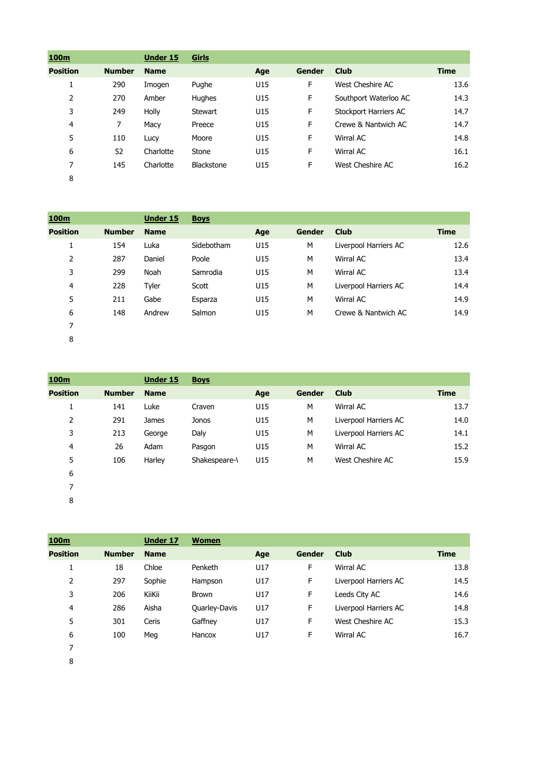| 100m            |               | Under 15    | Girls      |     |               |                       |             |
|-----------------|---------------|-------------|------------|-----|---------------|-----------------------|-------------|
| <b>Position</b> | <b>Number</b> | <b>Name</b> |            | Age | <b>Gender</b> | <b>Club</b>           | <b>Time</b> |
| ┻               | 290           | Imogen      | Pughe      | U15 | F             | West Cheshire AC      | 13.6        |
| 2               | 270           | Amber       | Hughes     | U15 | F             | Southport Waterloo AC | 14.3        |
| 3               | 249           | Holly       | Stewart    | U15 | F             | Stockport Harriers AC | 14.7        |
| 4               | 7             | Macy        | Preece     | U15 | F             | Crewe & Nantwich AC   | 14.7        |
| 5               | 110           | Lucy        | Moore      | U15 | F             | Wirral AC             | 14.8        |
| 6               | 52            | Charlotte   | Stone      | U15 | F             | Wirral AC             | 16.1        |
| 7               | 145           | Charlotte   | Blackstone | U15 | F             | West Cheshire AC      | 16.2        |
| 8               |               |             |            |     |               |                       |             |

| 100m            |               | Under 15    | <b>Boys</b> |     |               |                       |             |
|-----------------|---------------|-------------|-------------|-----|---------------|-----------------------|-------------|
| <b>Position</b> | <b>Number</b> | <b>Name</b> |             | Age | <b>Gender</b> | <b>Club</b>           | <b>Time</b> |
| 1               | 154           | Luka        | Sidebotham  | U15 | M             | Liverpool Harriers AC | 12.6        |
| 2               | 287           | Daniel      | Poole       | U15 | M             | Wirral AC             | 13.4        |
| 3               | 299           | Noah        | Samrodia    | U15 | M             | Wirral AC             | 13.4        |
| 4               | 228           | Tyler       | Scott       | U15 | M             | Liverpool Harriers AC | 14.4        |
| 5               | 211           | Gabe        | Esparza     | U15 | M             | Wirral AC             | 14.9        |
| 6               | 148           | Andrew      | Salmon      | U15 | M             | Crewe & Nantwich AC   | 14.9        |
| 7               |               |             |             |     |               |                       |             |
| 8               |               |             |             |     |               |                       |             |

| 100m            |               | <b>Under 15</b> | <b>Boys</b>   |     |               |                       |             |
|-----------------|---------------|-----------------|---------------|-----|---------------|-----------------------|-------------|
| <b>Position</b> | <b>Number</b> | <b>Name</b>     |               | Age | <b>Gender</b> | <b>Club</b>           | <b>Time</b> |
| 1               | 141           | Luke            | Craven        | U15 | M             | Wirral AC             | 13.7        |
| 2               | 291           | <b>James</b>    | Jonos         | U15 | M             | Liverpool Harriers AC | 14.0        |
| 3               | 213           | George          | Daly          | U15 | M             | Liverpool Harriers AC | 14.1        |
| 4               | 26            | Adam            | Pasgon        | U15 | М             | Wirral AC             | 15.2        |
| 5               | 106           | Harley          | Shakespeare-\ | U15 | M             | West Cheshire AC      | 15.9        |
| 6               |               |                 |               |     |               |                       |             |
| 7               |               |                 |               |     |               |                       |             |
| 8               |               |                 |               |     |               |                       |             |

| 100 <sub>m</sub> |               | Under 17    | <b>Women</b>         |     |               |                       |             |
|------------------|---------------|-------------|----------------------|-----|---------------|-----------------------|-------------|
| <b>Position</b>  | <b>Number</b> | <b>Name</b> |                      | Age | <b>Gender</b> | <b>Club</b>           | <b>Time</b> |
| 1                | 18            | Chloe       | Penketh              | U17 | F             | Wirral AC             | 13.8        |
| 2                | 297           | Sophie      | Hampson              | U17 | F             | Liverpool Harriers AC | 14.5        |
| 3                | 206           | KiiKii      | <b>Brown</b>         | U17 | F             | Leeds City AC         | 14.6        |
| 4                | 286           | Aisha       | <b>Quarley-Davis</b> | U17 | F             | Liverpool Harriers AC | 14.8        |
| 5                | 301           | Ceris       | Gaffney              | U17 | F             | West Cheshire AC      | 15.3        |
| 6                | 100           | Meg         | Hancox               | U17 | F             | Wirral AC             | 16.7        |
| 7                |               |             |                      |     |               |                       |             |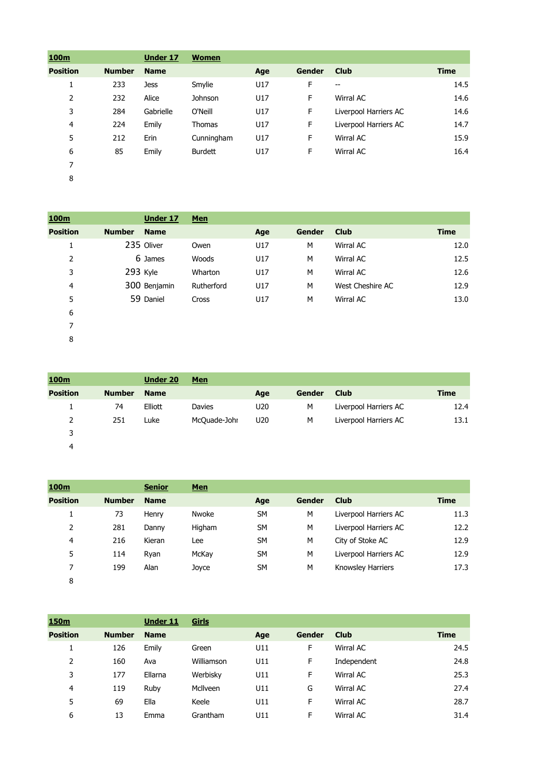| 100m            |               | Under 17    | <b>Women</b>   |     |               |                       |             |
|-----------------|---------------|-------------|----------------|-----|---------------|-----------------------|-------------|
| <b>Position</b> | <b>Number</b> | <b>Name</b> |                | Age | <b>Gender</b> | <b>Club</b>           | <b>Time</b> |
| 1               | 233           | <b>Jess</b> | Smylie         | U17 | F             | --                    | 14.5        |
| 2               | 232           | Alice       | Johnson        | U17 | F             | Wirral AC             | 14.6        |
| 3               | 284           | Gabrielle   | O'Neill        | U17 | F             | Liverpool Harriers AC | 14.6        |
| 4               | 224           | Emily       | Thomas         | U17 | F             | Liverpool Harriers AC | 14.7        |
| 5               | 212           | Erin        | Cunningham     | U17 | F             | Wirral AC             | 15.9        |
| 6               | 85            | Emily       | <b>Burdett</b> | U17 | F             | Wirral AC             | 16.4        |
| 7               |               |             |                |     |               |                       |             |
| 8               |               |             |                |     |               |                       |             |

| 100m            | Under 17                     | <b>Men</b> |     |               |                  |             |
|-----------------|------------------------------|------------|-----|---------------|------------------|-------------|
| <b>Position</b> | <b>Number</b><br><b>Name</b> |            | Age | <b>Gender</b> | <b>Club</b>      | <b>Time</b> |
|                 | 235 Oliver                   | Owen       | U17 | M             | Wirral AC        | 12.0        |
| 2               | 6 James                      | Woods      | U17 | M             | Wirral AC        | 12.5        |
| 3               | 293 Kyle                     | Wharton    | U17 | M             | Wirral AC        | 12.6        |
| 4               | 300 Benjamin                 | Rutherford | U17 | M             | West Cheshire AC | 12.9        |
| 5               | 59 Daniel                    | Cross      | U17 | M             | Wirral AC        | 13.0        |
| 6               |                              |            |     |               |                  |             |
|                 |                              |            |     |               |                  |             |

| 100m            |               | <b>Under 20</b> | <b>Men</b>    |                 |        |                       |      |
|-----------------|---------------|-----------------|---------------|-----------------|--------|-----------------------|------|
| <b>Position</b> | <b>Number</b> | <b>Name</b>     |               | Age             | Gender | <b>Club</b>           | Time |
|                 | 74            | Elliott         | <b>Davies</b> | U <sub>20</sub> | M      | Liverpool Harriers AC | 12.4 |
| 2               | 251           | Luke            | McQuade-Johr  | U20             | M      | Liverpool Harriers AC | 13.1 |
| 3               |               |                 |               |                 |        |                       |      |
| 4               |               |                 |               |                 |        |                       |      |

| 100m            |               | <b>Senior</b> | <b>Men</b> |           |        |                       |             |
|-----------------|---------------|---------------|------------|-----------|--------|-----------------------|-------------|
| <b>Position</b> | <b>Number</b> | <b>Name</b>   |            | Age       | Gender | <b>Club</b>           | <b>Time</b> |
| ┻               | 73            | Henry         | Nwoke      | <b>SM</b> | M      | Liverpool Harriers AC | 11.3        |
| 2               | 281           | Danny         | Higham     | <b>SM</b> | M      | Liverpool Harriers AC | 12.2        |
| 4               | 216           | Kieran        | Lee        | <b>SM</b> | M      | City of Stoke AC      | 12.9        |
| 5               | 114           | Ryan          | McKay      | <b>SM</b> | M      | Liverpool Harriers AC | 12.9        |
| 7               | 199           | Alan          | Joyce      | <b>SM</b> | M      | Knowsley Harriers     | 17.3        |
| 8               |               |               |            |           |        |                       |             |

| 150 <sub>m</sub> |               | <b>Under 11</b> | Girls      |     |        |             |             |
|------------------|---------------|-----------------|------------|-----|--------|-------------|-------------|
| <b>Position</b>  | <b>Number</b> | <b>Name</b>     |            | Age | Gender | <b>Club</b> | <b>Time</b> |
| ┻                | 126           | Emily           | Green      | U11 | F      | Wirral AC   | 24.5        |
| 2                | 160           | Ava             | Williamson | U11 | F      | Independent | 24.8        |
| 3                | 177           | Ellarna         | Werbisky   | U11 | F      | Wirral AC   | 25.3        |
| 4                | 119           | Ruby            | McIlveen   | U11 | G      | Wirral AC   | 27.4        |
| 5                | 69            | Ella            | Keele      | U11 | F      | Wirral AC   | 28.7        |
| 6                | 13            | Emma            | Grantham   | U11 | F      | Wirral AC   | 31.4        |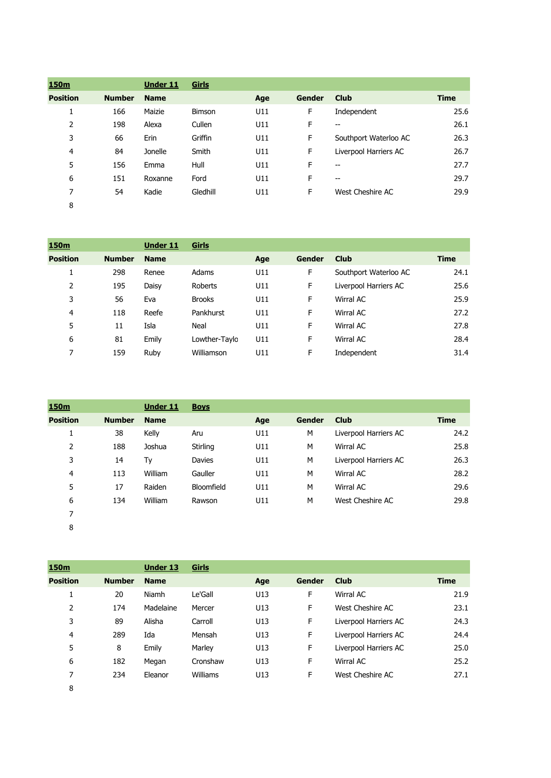| <u>150m</u>     |               | <b>Under 11</b> | Girls         |     |               |                       |             |
|-----------------|---------------|-----------------|---------------|-----|---------------|-----------------------|-------------|
| <b>Position</b> | <b>Number</b> | <b>Name</b>     |               | Age | <b>Gender</b> | <b>Club</b>           | <b>Time</b> |
|                 | 166           | Maizie          | <b>Bimson</b> | U11 | F             | Independent           | 25.6        |
| 2               | 198           | Alexa           | Cullen        | U11 | F             | $-$                   | 26.1        |
| 3               | 66            | Erin            | Griffin       | U11 | F             | Southport Waterloo AC | 26.3        |
| $\overline{4}$  | 84            | Jonelle         | Smith         | U11 | F             | Liverpool Harriers AC | 26.7        |
| 5               | 156           | Emma            | Hull          | U11 | F             | $-$                   | 27.7        |
| 6               | 151           | Roxanne         | Ford          | U11 | F             | $-$                   | 29.7        |
| 7               | 54            | Kadie           | Gledhill      | U11 | F             | West Cheshire AC      | 29.9        |
| 8               |               |                 |               |     |               |                       |             |

| 150m            |               | <b>Under 11</b> | Girls         |     |               |                       |             |
|-----------------|---------------|-----------------|---------------|-----|---------------|-----------------------|-------------|
| <b>Position</b> | <b>Number</b> | <b>Name</b>     |               | Age | <b>Gender</b> | <b>Club</b>           | <b>Time</b> |
|                 | 298           | Renee           | Adams         | U11 | F             | Southport Waterloo AC | 24.1        |
| 2               | 195           | Daisy           | Roberts       | U11 | F             | Liverpool Harriers AC | 25.6        |
| 3               | 56            | Eva             | <b>Brooks</b> | U11 | F             | Wirral AC             | 25.9        |
| 4               | 118           | Reefe           | Pankhurst     | U11 | F             | Wirral AC             | 27.2        |
| 5               | 11            | Isla            | Neal          | U11 | F             | Wirral AC             | 27.8        |
| 6               | 81            | Emily           | Lowther-Taylo | U11 | F             | Wirral AC             | 28.4        |
| 7               | 159           | Ruby            | Williamson    | U11 | F             | Independent           | 31.4        |

| 150 <sub>m</sub> |               | <b>Under 11</b> | <b>Boys</b> |     |               |                       |      |
|------------------|---------------|-----------------|-------------|-----|---------------|-----------------------|------|
| <b>Position</b>  | <b>Number</b> | <b>Name</b>     |             | Age | <b>Gender</b> | <b>Club</b>           | Time |
| 1                | 38            | Kelly           | Aru         | U11 | M             | Liverpool Harriers AC | 24.2 |
| 2                | 188           | Joshua          | Stirling    | U11 | M             | Wirral AC             | 25.8 |
| 3                | 14            | Ty              | Davies      | U11 | M             | Liverpool Harriers AC | 26.3 |
| 4                | 113           | William         | Gauller     | U11 | M             | Wirral AC             | 28.2 |
| 5                | 17            | Raiden          | Bloomfield  | U11 | M             | Wirral AC             | 29.6 |
| 6                | 134           | William         | Rawson      | U11 | M             | West Cheshire AC      | 29.8 |
| 7                |               |                 |             |     |               |                       |      |

**150m Under 13 Girls Position Number Name Age Gender Club Time** 20 Niamh Le'Gall U13 F Wirral AC 21.9 2 174 Madelaine Mercer U13 F West Cheshire AC 23.1 89 Alisha Carroll U13 F Liverpool Harriers AC 24.3 289 Ida Mensah U13 F Liverpool Harriers AC 24.4 5 8 Emily Marley U13 F Liverpool Harriers AC 25.0 182 Megan Cronshaw U13 F Wirral AC 25.2 234 Eleanor Williams U13 F West Cheshire AC 27.1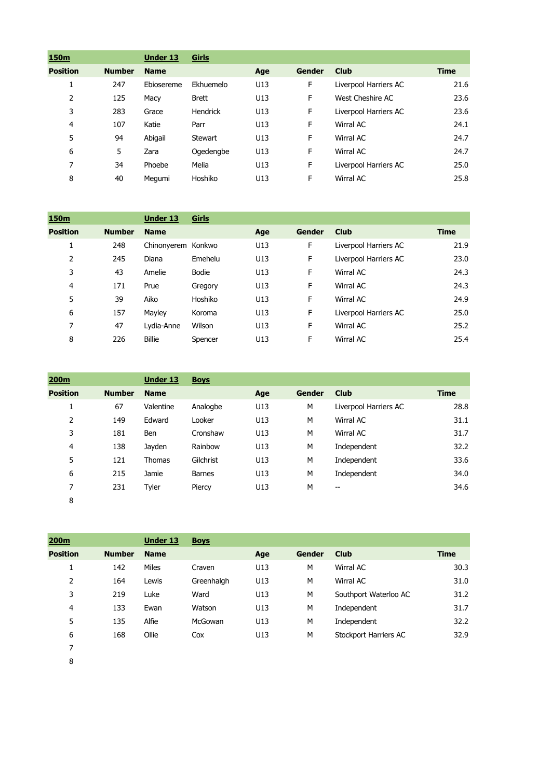| 150m            |               | Under 13    | Girls        |     |               |                       |             |
|-----------------|---------------|-------------|--------------|-----|---------------|-----------------------|-------------|
| <b>Position</b> | <b>Number</b> | <b>Name</b> |              | Age | <b>Gender</b> | <b>Club</b>           | <b>Time</b> |
| T               | 247           | Ebiosereme  | Ekhuemelo    | U13 | F             | Liverpool Harriers AC | 21.6        |
| 2               | 125           | Macy        | <b>Brett</b> | U13 | F             | West Cheshire AC      | 23.6        |
| 3               | 283           | Grace       | Hendrick     | U13 | F             | Liverpool Harriers AC | 23.6        |
| 4               | 107           | Katie       | Parr         | U13 | F             | Wirral AC             | 24.1        |
| 5               | 94            | Abigail     | Stewart      | U13 | F             | Wirral AC             | 24.7        |
| 6               | 5             | Zara        | Ogedengbe    | U13 | F             | Wirral AC             | 24.7        |
| 7               | 34            | Phoebe      | Melia        | U13 | F             | Liverpool Harriers AC | 25.0        |
| 8               | 40            | Megumi      | Hoshiko      | U13 | F             | Wirral AC             | 25.8        |

| 150m            |               | <b>Under 13</b>    | Girls   |     |        |                       |             |
|-----------------|---------------|--------------------|---------|-----|--------|-----------------------|-------------|
| <b>Position</b> | <b>Number</b> | <b>Name</b>        |         | Age | Gender | <b>Club</b>           | <b>Time</b> |
| 1               | 248           | Chinonyerem Konkwo |         | U13 | F      | Liverpool Harriers AC | 21.9        |
| 2               | 245           | Diana              | Emehelu | U13 | F      | Liverpool Harriers AC | 23.0        |
| 3               | 43            | Amelie             | Bodie   | U13 | F      | Wirral AC             | 24.3        |
| 4               | 171           | Prue               | Gregory | U13 | F      | Wirral AC             | 24.3        |
| 5               | 39            | Aiko               | Hoshiko | U13 | F      | Wirral AC             | 24.9        |
| 6               | 157           | Mayley             | Koroma  | U13 | F      | Liverpool Harriers AC | 25.0        |
| 7               | 47            | Lydia-Anne         | Wilson  | U13 | F      | Wirral AC             | 25.2        |
| 8               | 226           | <b>Billie</b>      | Spencer | U13 | F      | Wirral AC             | 25.4        |

| 200 <sub>m</sub> |               | <b>Under 13</b> | <b>Boys</b>   |     |               |                                       |             |
|------------------|---------------|-----------------|---------------|-----|---------------|---------------------------------------|-------------|
| <b>Position</b>  | <b>Number</b> | <b>Name</b>     |               | Age | <b>Gender</b> | <b>Club</b>                           | <b>Time</b> |
| ı.               | 67            | Valentine       | Analogbe      | U13 | M             | Liverpool Harriers AC                 | 28.8        |
| 2                | 149           | Edward          | Looker        | U13 | M             | Wirral AC                             | 31.1        |
| 3                | 181           | <b>Ben</b>      | Cronshaw      | U13 | M             | Wirral AC                             | 31.7        |
| 4                | 138           | Jayden          | Rainbow       | U13 | M             | Independent                           | 32.2        |
| 5                | 121           | <b>Thomas</b>   | Gilchrist     | U13 | M             | Independent                           | 33.6        |
| 6                | 215           | Jamie           | <b>Barnes</b> | U13 | M             | Independent                           | 34.0        |
| 7                | 231           | Tyler           | Piercy        | U13 | М             | $\hspace{0.05cm}$ – $\hspace{0.05cm}$ | 34.6        |
| 8                |               |                 |               |     |               |                                       |             |

| 200 <sub>m</sub> |               | <b>Under 13</b> | <b>Boys</b> |     |        |                       |             |
|------------------|---------------|-----------------|-------------|-----|--------|-----------------------|-------------|
| <b>Position</b>  | <b>Number</b> | <b>Name</b>     |             | Age | Gender | <b>Club</b>           | <b>Time</b> |
| ┻                | 142           | <b>Miles</b>    | Craven      | U13 | M      | Wirral AC             | 30.3        |
| 2                | 164           | Lewis           | Greenhalgh  | U13 | M      | Wirral AC             | 31.0        |
| 3                | 219           | Luke            | Ward        | U13 | M      | Southport Waterloo AC | 31.2        |
| 4                | 133           | Ewan            | Watson      | U13 | M      | Independent           | 31.7        |
| 5                | 135           | Alfie           | McGowan     | U13 | M      | Independent           | 32.2        |
| 6                | 168           | Ollie           | Cox         | U13 | M      | Stockport Harriers AC | 32.9        |
| 7                |               |                 |             |     |        |                       |             |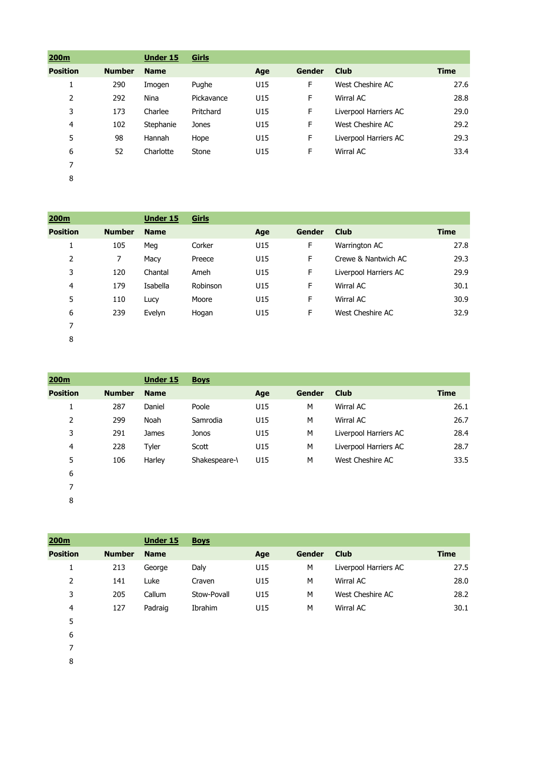| 200m            |               | <b>Under 15</b> | Girls      |     |               |                       |             |
|-----------------|---------------|-----------------|------------|-----|---------------|-----------------------|-------------|
| <b>Position</b> | <b>Number</b> | <b>Name</b>     |            | Age | <b>Gender</b> | <b>Club</b>           | <b>Time</b> |
| 1               | 290           | Imogen          | Pughe      | U15 | F             | West Cheshire AC      | 27.6        |
| 2               | 292           | Nina            | Pickavance | U15 | F             | Wirral AC             | 28.8        |
| 3               | 173           | Charlee         | Pritchard  | U15 | F             | Liverpool Harriers AC | 29.0        |
| 4               | 102           | Stephanie       | Jones      | U15 | F             | West Cheshire AC      | 29.2        |
| 5               | 98            | Hannah          | Hope       | U15 | F             | Liverpool Harriers AC | 29.3        |
| 6               | 52            | Charlotte       | Stone      | U15 | F             | Wirral AC             | 33.4        |
| 7               |               |                 |            |     |               |                       |             |
| 8               |               |                 |            |     |               |                       |             |

| 200m            |               | Under 15    | Girls    |     |               |                       |             |
|-----------------|---------------|-------------|----------|-----|---------------|-----------------------|-------------|
| <b>Position</b> | <b>Number</b> | <b>Name</b> |          | Age | <b>Gender</b> | <b>Club</b>           | <b>Time</b> |
| 1               | 105           | Meg         | Corker   | U15 | F             | Warrington AC         | 27.8        |
| 2               | 7             | Macy        | Preece   | U15 | F.            | Crewe & Nantwich AC   | 29.3        |
| 3               | 120           | Chantal     | Ameh     | U15 | F             | Liverpool Harriers AC | 29.9        |
| 4               | 179           | Isabella    | Robinson | U15 | F.            | Wirral AC             | 30.1        |
| 5               | 110           | Lucy        | Moore    | U15 | F             | Wirral AC             | 30.9        |
| 6               | 239           | Evelyn      | Hogan    | U15 | F             | West Cheshire AC      | 32.9        |
| 7               |               |             |          |     |               |                       |             |
| 8               |               |             |          |     |               |                       |             |

| 200 <sub>m</sub> |               | <b>Under 15</b> | <b>Boys</b>   |     |               |                       |             |
|------------------|---------------|-----------------|---------------|-----|---------------|-----------------------|-------------|
| <b>Position</b>  | <b>Number</b> | <b>Name</b>     |               | Age | <b>Gender</b> | <b>Club</b>           | <b>Time</b> |
| 1                | 287           | Daniel          | Poole         | U15 | M             | Wirral AC             | 26.1        |
| 2                | 299           | Noah            | Samrodia      | U15 | M             | Wirral AC             | 26.7        |
| 3                | 291           | James           | Jonos         | U15 | M             | Liverpool Harriers AC | 28.4        |
| 4                | 228           | Tyler           | Scott         | U15 | M             | Liverpool Harriers AC | 28.7        |
| 5                | 106           | Harley          | Shakespeare-\ | U15 | M             | West Cheshire AC      | 33.5        |
| 6                |               |                 |               |     |               |                       |             |
| 7                |               |                 |               |     |               |                       |             |
|                  |               |                 |               |     |               |                       |             |

| 200m            |               | <b>Under 15</b> | <b>Boys</b> |     |               |                       |             |
|-----------------|---------------|-----------------|-------------|-----|---------------|-----------------------|-------------|
| <b>Position</b> | <b>Number</b> | <b>Name</b>     |             | Age | <b>Gender</b> | <b>Club</b>           | <b>Time</b> |
| 1               | 213           | George          | Daly        | U15 | M             | Liverpool Harriers AC | 27.5        |
| 2               | 141           | Luke            | Craven      | U15 | M             | Wirral AC             | 28.0        |
| 3               | 205           | Callum          | Stow-Povall | U15 | M             | West Cheshire AC      | 28.2        |
| $\overline{4}$  | 127           | Padraig         | Ibrahim     | U15 | M             | Wirral AC             | 30.1        |
| 5               |               |                 |             |     |               |                       |             |
| 6               |               |                 |             |     |               |                       |             |
|                 |               |                 |             |     |               |                       |             |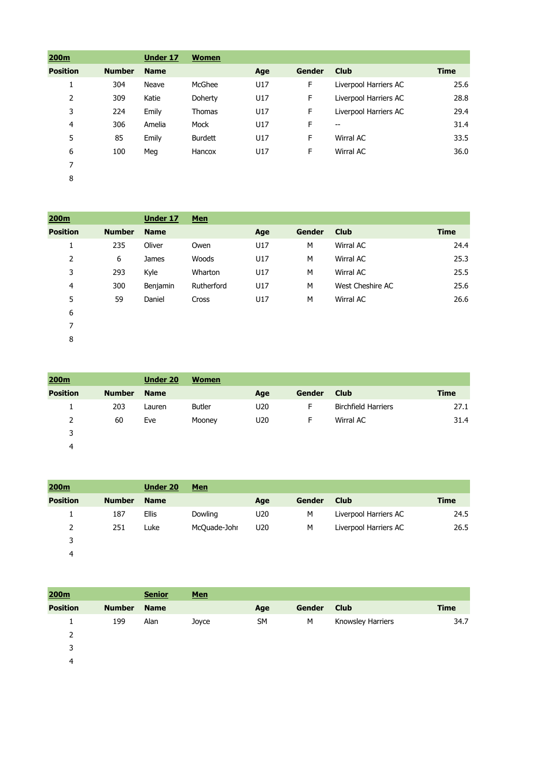| 200m            |               | Under 17    | <b>Women</b>   |     |               |                       |             |
|-----------------|---------------|-------------|----------------|-----|---------------|-----------------------|-------------|
| <b>Position</b> | <b>Number</b> | <b>Name</b> |                | Age | <b>Gender</b> | <b>Club</b>           | <b>Time</b> |
| 1               | 304           | Neave       | McGhee         | U17 | F             | Liverpool Harriers AC | 25.6        |
| 2               | 309           | Katie       | Doherty        | U17 | F             | Liverpool Harriers AC | 28.8        |
| 3               | 224           | Emily       | <b>Thomas</b>  | U17 | F             | Liverpool Harriers AC | 29.4        |
| 4               | 306           | Amelia      | Mock           | U17 | F             | --                    | 31.4        |
| 5               | 85            | Emily       | <b>Burdett</b> | U17 | F             | Wirral AC             | 33.5        |
| 6               | 100           | Meg         | Hancox         | U17 | F             | Wirral AC             | 36.0        |
| 7               |               |             |                |     |               |                       |             |
| 8               |               |             |                |     |               |                       |             |

| 200m            |               | <b>Under 17</b> | <b>Men</b> |     |               |                  |             |
|-----------------|---------------|-----------------|------------|-----|---------------|------------------|-------------|
| <b>Position</b> | <b>Number</b> | <b>Name</b>     |            | Age | <b>Gender</b> | <b>Club</b>      | <b>Time</b> |
| Ŧ.              | 235           | Oliver          | Owen       | U17 | M             | Wirral AC        | 24.4        |
| 2               | 6             | James           | Woods      | U17 | M             | Wirral AC        | 25.3        |
| 3               | 293           | Kyle            | Wharton    | U17 | M             | Wirral AC        | 25.5        |
| 4               | 300           | Benjamin        | Rutherford | U17 | M             | West Cheshire AC | 25.6        |
| 5               | 59            | Daniel          | Cross      | U17 | M             | Wirral AC        | 26.6        |
| 6               |               |                 |            |     |               |                  |             |
| 7               |               |                 |            |     |               |                  |             |

| 200m            |               | <b>Under 20</b> | <b>Women</b>  |                 |        |                            |      |
|-----------------|---------------|-----------------|---------------|-----------------|--------|----------------------------|------|
| <b>Position</b> | <b>Number</b> | <b>Name</b>     |               | Age             | Gender | Club                       | Time |
| ı               | 203           | Lauren          | <b>Butler</b> | U <sub>20</sub> | F      | <b>Birchfield Harriers</b> | 27.1 |
| $\overline{2}$  | 60            | Eve             | Mooney        | U <sub>20</sub> | F      | Wirral AC                  | 31.4 |
| 3               |               |                 |               |                 |        |                            |      |
| 4               |               |                 |               |                 |        |                            |      |

| 200m            |               | <b>Under 20</b> | <b>Men</b>   |                 |        |                       |      |
|-----------------|---------------|-----------------|--------------|-----------------|--------|-----------------------|------|
| <b>Position</b> | <b>Number</b> | <b>Name</b>     |              | Age             | Gender | <b>Club</b>           | Time |
| 1               | 187           | <b>Ellis</b>    | Dowling      | U <sub>20</sub> | M      | Liverpool Harriers AC | 24.5 |
| $\overline{2}$  | 251           | Luke            | McQuade-Johr | U <sub>20</sub> | M      | Liverpool Harriers AC | 26.5 |
| 3               |               |                 |              |                 |        |                       |      |
| 4               |               |                 |              |                 |        |                       |      |

| 200m            |               | <b>Senior</b> | <b>Men</b> |           |        |                   |             |
|-----------------|---------------|---------------|------------|-----------|--------|-------------------|-------------|
| <b>Position</b> | <b>Number</b> | <b>Name</b>   |            | Age       | Gender | <b>Club</b>       | <b>Time</b> |
|                 | 199           | Alan          | Joyce      | <b>SM</b> | М      | Knowsley Harriers | 34.7        |
| 2               |               |               |            |           |        |                   |             |
| 3               |               |               |            |           |        |                   |             |
| 4               |               |               |            |           |        |                   |             |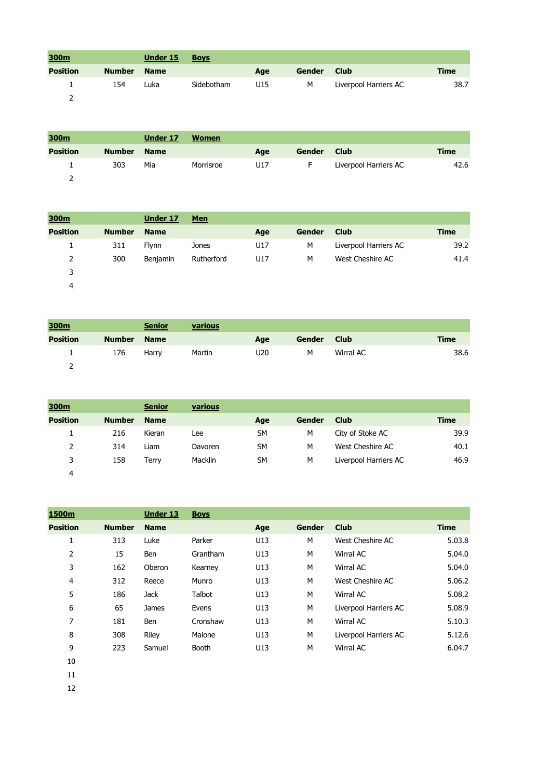| 300m            |               | Under 15    | <b>Boys</b> |     |               |                       |      |
|-----------------|---------------|-------------|-------------|-----|---------------|-----------------------|------|
| <b>Position</b> | <b>Number</b> | <b>Name</b> |             | Age | <b>Gender</b> | <b>Club</b>           | Time |
|                 | 154           | Luka        | Sidebotham  | U15 | м             | Liverpool Harriers AC | 38.7 |
|                 |               |             |             |     |               |                       |      |

| 300m            |               | Under 17    | <b>Women</b> |     |               |                       |      |
|-----------------|---------------|-------------|--------------|-----|---------------|-----------------------|------|
| <b>Position</b> | <b>Number</b> | <b>Name</b> |              | Age | <b>Gender</b> | <b>Club</b>           | Time |
|                 | 303           | Mia         | Morrisroe    | U17 | -             | Liverpool Harriers AC | 42.6 |
|                 |               |             |              |     |               |                       |      |

| 300m            |               | Under 17        | <b>Men</b> |     |        |                       |      |
|-----------------|---------------|-----------------|------------|-----|--------|-----------------------|------|
| <b>Position</b> | <b>Number</b> | <b>Name</b>     |            | Age | Gender | <b>Club</b>           | Time |
|                 | 311           | <b>Flynn</b>    | Jones      | U17 | M      | Liverpool Harriers AC | 39.2 |
| 2               | 300           | <b>Benjamin</b> | Rutherford | U17 | M      | West Cheshire AC      | 41.4 |
| 3               |               |                 |            |     |        |                       |      |
| 4               |               |                 |            |     |        |                       |      |

| 300m            |               | <b>Senior</b> | various |                 |        |             |             |
|-----------------|---------------|---------------|---------|-----------------|--------|-------------|-------------|
| <b>Position</b> | <b>Number</b> | <b>Name</b>   |         | Age             | Gender | <b>Club</b> | <b>Time</b> |
| $\perp$         | 176           | Harry         | Martin  | U <sub>20</sub> | M      | Wirral AC   | 38.6        |
|                 |               |               |         |                 |        |             |             |

| 300m            |               | <b>Senior</b> | various |           |        |                       |      |
|-----------------|---------------|---------------|---------|-----------|--------|-----------------------|------|
| <b>Position</b> | <b>Number</b> | <b>Name</b>   |         | Age       | Gender | <b>Club</b>           | Time |
| ┻               | 216           | Kieran        | Lee     | <b>SM</b> | М      | City of Stoke AC      | 39.9 |
| 2               | 314           | Liam          | Davoren | <b>SM</b> | M      | West Cheshire AC      | 40.1 |
| 3               | 158           | Terrv         | Macklin | <b>SM</b> | M      | Liverpool Harriers AC | 46.9 |
| 4               |               |               |         |           |        |                       |      |

| 1500m           |               | <b>Under 13</b> | <b>Boys</b> |     |               |                       |             |
|-----------------|---------------|-----------------|-------------|-----|---------------|-----------------------|-------------|
| <b>Position</b> | <b>Number</b> | <b>Name</b>     |             | Age | <b>Gender</b> | <b>Club</b>           | <b>Time</b> |
| 1               | 313           | Luke            | Parker      | U13 | M             | West Cheshire AC      | 5.03.8      |
| 2               | 15            | Ben             | Grantham    | U13 | M             | Wirral AC             | 5.04.0      |
| 3               | 162           | Oberon          | Kearney     | U13 | M             | Wirral AC             | 5.04.0      |
| 4               | 312           | Reece           | Munro       | U13 | M             | West Cheshire AC      | 5.06.2      |
| 5               | 186           | <b>Jack</b>     | Talbot      | U13 | M             | Wirral AC             | 5.08.2      |
| 6               | 65            | James           | Evens       | U13 | М             | Liverpool Harriers AC | 5.08.9      |
| 7               | 181           | Ben             | Cronshaw    | U13 | M             | Wirral AC             | 5.10.3      |
| 8               | 308           | Riley           | Malone      | U13 | М             | Liverpool Harriers AC | 5.12.6      |
| 9               | 223           | Samuel          | Booth       | U13 | М             | Wirral AC             | 6.04.7      |
| 10              |               |                 |             |     |               |                       |             |
| 11              |               |                 |             |     |               |                       |             |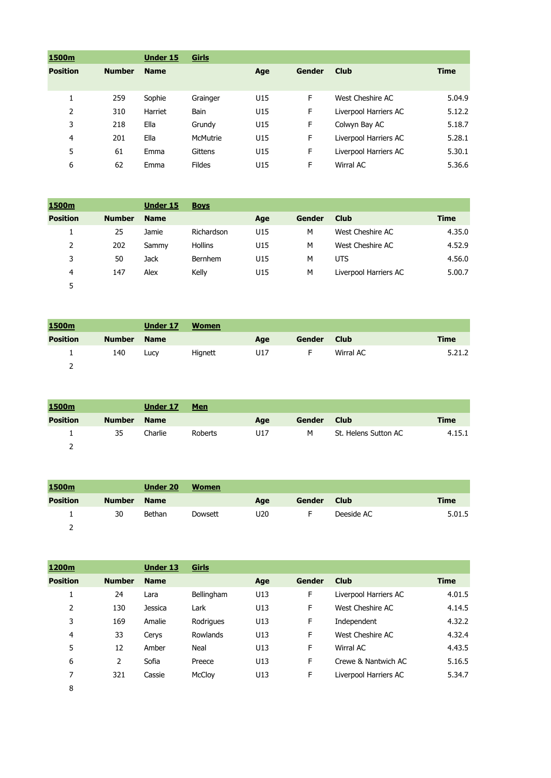| 1500m           |               | Under 15    | Girls           |     |               |                       |             |
|-----------------|---------------|-------------|-----------------|-----|---------------|-----------------------|-------------|
| <b>Position</b> | <b>Number</b> | <b>Name</b> |                 | Age | <b>Gender</b> | <b>Club</b>           | <b>Time</b> |
|                 |               |             |                 |     |               |                       |             |
| 1               | 259           | Sophie      | Grainger        | U15 | F             | West Cheshire AC      | 5.04.9      |
| 2               | 310           | Harriet     | <b>Bain</b>     | U15 | F             | Liverpool Harriers AC | 5.12.2      |
| 3               | 218           | Ella        | Grundy          | U15 | F             | Colwyn Bay AC         | 5.18.7      |
| $\overline{4}$  | 201           | Ella        | <b>McMutrie</b> | U15 | F             | Liverpool Harriers AC | 5.28.1      |
| 5               | 61            | Emma        | Gittens         | U15 | F             | Liverpool Harriers AC | 5.30.1      |
| 6               | 62            | Emma        | <b>Fildes</b>   | U15 | F             | Wirral AC             | 5.36.6      |
|                 |               |             |                 |     |               |                       |             |

| 1500m           |               | <b>Under 15</b> | <b>Boys</b>    |     |        |                       |             |
|-----------------|---------------|-----------------|----------------|-----|--------|-----------------------|-------------|
| <b>Position</b> | <b>Number</b> | <b>Name</b>     |                | Age | Gender | <b>Club</b>           | <b>Time</b> |
|                 | 25            | Jamie           | Richardson     | U15 | M      | West Cheshire AC      | 4.35.0      |
| 2               | 202           | Sammy           | <b>Hollins</b> | U15 | M      | West Cheshire AC      | 4.52.9      |
| 3               | 50            | <b>Jack</b>     | Bernhem        | U15 | M      | <b>UTS</b>            | 4.56.0      |
| 4               | 147           | Alex            | Kelly          | U15 | M      | Liverpool Harriers AC | 5.00.7      |
| 5               |               |                 |                |     |        |                       |             |

| 1500m           |               | Under 17 | <b>Women</b> |     |        |             |             |
|-----------------|---------------|----------|--------------|-----|--------|-------------|-------------|
| <b>Position</b> | <b>Number</b> | Name     |              | Age | Gender | <b>Club</b> | <b>Time</b> |
|                 | 140           | Lucy     | Hignett      | U17 |        | Wirral AC   | 5.21.2      |
|                 |               |          |              |     |        |             |             |

| 1500m           |               | Under 17    | <b>Men</b> |     |               |                      |             |
|-----------------|---------------|-------------|------------|-----|---------------|----------------------|-------------|
| <b>Position</b> | <b>Number</b> | <b>Name</b> |            | Age | <b>Gender</b> | <b>Club</b>          | <b>Time</b> |
|                 | 35            | Charlie     | Roberts    | U17 | м             | St. Helens Sutton AC | 4.15.1      |
|                 |               |             |            |     |               |                      |             |

| 1500m           |               | Under 20    | <b>Women</b> |     |               |             |             |
|-----------------|---------------|-------------|--------------|-----|---------------|-------------|-------------|
| <b>Position</b> | <b>Number</b> | <b>Name</b> |              | Age | <b>Gender</b> | <b>Club</b> | <b>Time</b> |
|                 | 30            | Bethan      | Dowsett      | U20 |               | Deeside AC  | 5.01.5      |
|                 |               |             |              |     |               |             |             |

| 1200m           |               | <b>Under 13</b> | Girls      |     |        |                       |             |
|-----------------|---------------|-----------------|------------|-----|--------|-----------------------|-------------|
| <b>Position</b> | <b>Number</b> | <b>Name</b>     |            | Age | Gender | <b>Club</b>           | <b>Time</b> |
| 1               | 24            | Lara            | Bellingham | U13 | F      | Liverpool Harriers AC | 4.01.5      |
| 2               | 130           | <b>Jessica</b>  | Lark       | U13 | F      | West Cheshire AC      | 4.14.5      |
| 3               | 169           | Amalie          | Rodrigues  | U13 | F      | Independent           | 4.32.2      |
| $\overline{4}$  | 33            | Cerys           | Rowlands   | U13 | F      | West Cheshire AC      | 4.32.4      |
| 5               | 12            | Amber           | Neal       | U13 | F      | Wirral AC             | 4.43.5      |
| 6               | 2             | Sofia           | Preece     | U13 | F      | Crewe & Nantwich AC   | 5.16.5      |
| 7               | 321           | Cassie          | McCloy     | U13 | F      | Liverpool Harriers AC | 5.34.7      |
| 8               |               |                 |            |     |        |                       |             |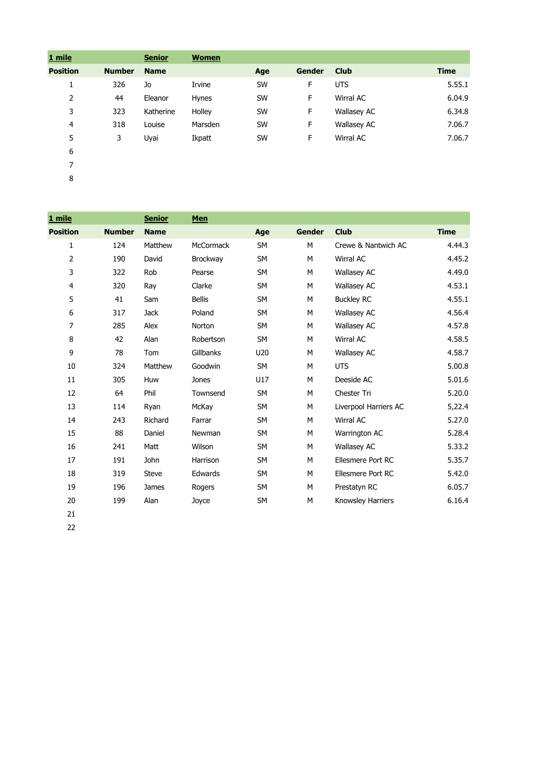| 1 mile          |               | <b>Senior</b> | <b>Women</b> |           |               |                    |             |
|-----------------|---------------|---------------|--------------|-----------|---------------|--------------------|-------------|
| <b>Position</b> | <b>Number</b> | <b>Name</b>   |              | Age       | <b>Gender</b> | <b>Club</b>        | <b>Time</b> |
| Ŧ,              | 326           | Jo            | Irvine       | <b>SW</b> | F             | <b>UTS</b>         | 5.55.1      |
| 2               | 44            | Eleanor       | <b>Hynes</b> | <b>SW</b> | F             | Wirral AC          | 6.04.9      |
| 3               | 323           | Katherine     | Holley       | <b>SW</b> | F             | <b>Wallasey AC</b> | 6.34.8      |
| 4               | 318           | Louise        | Marsden      | <b>SW</b> | F             | <b>Wallasey AC</b> | 7.06.7      |
| 5               | 3             | Uyai          | Ikpatt       | <b>SW</b> | F             | Wirral AC          | 7.06.7      |
| 6               |               |               |              |           |               |                    |             |
| 7               |               |               |              |           |               |                    |             |

| 1 mile          |               | <b>Senior</b> | Men              |           |               |                          |             |
|-----------------|---------------|---------------|------------------|-----------|---------------|--------------------------|-------------|
| <b>Position</b> | <b>Number</b> | <b>Name</b>   |                  | Age       | <b>Gender</b> | <b>Club</b>              | <b>Time</b> |
| $\mathbf{1}$    | 124           | Matthew       | <b>McCormack</b> | <b>SM</b> | M             | Crewe & Nantwich AC      | 4.44.3      |
| 2               | 190           | David         | Brockway         | <b>SM</b> | M             | Wirral AC                | 4.45.2      |
| 3               | 322           | Rob           | Pearse           | <b>SM</b> | М             | <b>Wallasey AC</b>       | 4.49.0      |
| 4               | 320           | Ray           | Clarke           | <b>SM</b> | M             | <b>Wallasey AC</b>       | 4.53.1      |
| 5               | 41            | Sam           | <b>Bellis</b>    | <b>SM</b> | M             | <b>Buckley RC</b>        | 4.55.1      |
| 6               | 317           | <b>Jack</b>   | Poland           | <b>SM</b> | M             | <b>Wallasey AC</b>       | 4.56.4      |
| 7               | 285           | Alex          | Norton           | <b>SM</b> | M             | <b>Wallasey AC</b>       | 4.57.8      |
| $\,8\,$         | 42            | Alan          | Robertson        | <b>SM</b> | М             | Wirral AC                | 4.58.5      |
| 9               | 78            | Tom           | Gillbanks        | U20       | М             | <b>Wallasey AC</b>       | 4.58.7      |
| 10              | 324           | Matthew       | Goodwin          | <b>SM</b> | М             | <b>UTS</b>               | 5.00.8      |
| 11              | 305           | Huw           | Jones            | U17       | M             | Deeside AC               | 5.01.6      |
| 12              | 64            | Phil          | Townsend         | <b>SM</b> | М             | Chester Tri              | 5.20.0      |
| 13              | 114           | Ryan          | McKay            | SM        | М             | Liverpool Harriers AC    | 5,22.4      |
| 14              | 243           | Richard       | Farrar           | <b>SM</b> | М             | <b>Wirral AC</b>         | 5.27.0      |
| 15              | 88            | Daniel        | Newman           | <b>SM</b> | M             | Warrington AC            | 5.28.4      |
| 16              | 241           | Matt          | Wilson           | SM        | М             | Wallasey AC              | 5.33.2      |
| 17              | 191           | John          | Harrison         | SM        | M             | <b>Ellesmere Port RC</b> | 5.35.7      |
| 18              | 319           | <b>Steve</b>  | Edwards          | <b>SM</b> | M             | <b>Ellesmere Port RC</b> | 5.42.0      |
| 19              | 196           | James         | Rogers           | SM        | M             | Prestatyn RC             | 6.05.7      |
| $20\,$          | 199           | Alan          | Joyce            | SM        | М             | Knowsley Harriers        | 6.16.4      |
| 21              |               |               |                  |           |               |                          |             |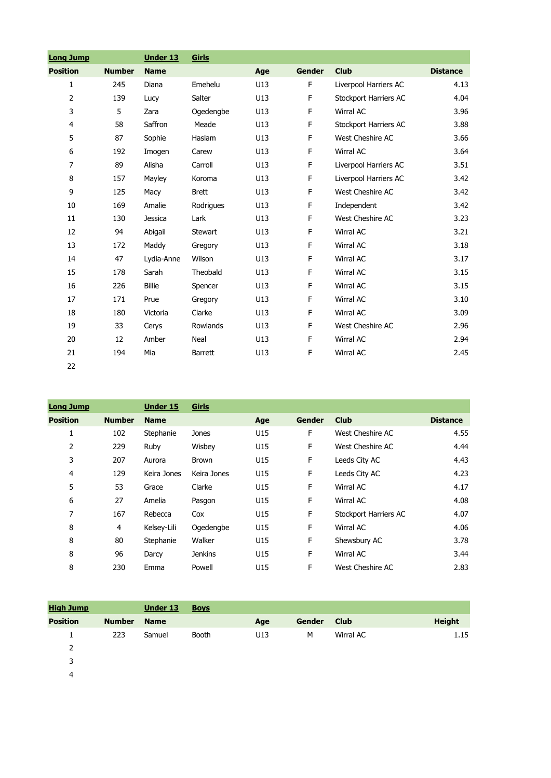| <b>Long Jump</b> |               | <b>Under 13</b> | <b>Girls</b>   |     |             |                              |                 |
|------------------|---------------|-----------------|----------------|-----|-------------|------------------------------|-----------------|
| <b>Position</b>  | <b>Number</b> | <b>Name</b>     |                | Age | Gender      | <b>Club</b>                  | <b>Distance</b> |
| $\mathbf{1}$     | 245           | Diana           | Emehelu        | U13 | $\mathsf F$ | Liverpool Harriers AC        | 4.13            |
| $\overline{2}$   | 139           | Lucy            | Salter         | U13 | $\mathsf F$ | <b>Stockport Harriers AC</b> | 4.04            |
| 3                | 5             | Zara            | Ogedengbe      | U13 | $\mathsf F$ | Wirral AC                    | 3.96            |
| 4                | 58            | Saffron         | Meade          | U13 | F           | Stockport Harriers AC        | 3.88            |
| 5                | 87            | Sophie          | Haslam         | U13 | F           | West Cheshire AC             | 3.66            |
| 6                | 192           | Imogen          | Carew          | U13 | F           | Wirral AC                    | 3.64            |
| $\overline{7}$   | 89            | Alisha          | Carroll        | U13 | F           | Liverpool Harriers AC        | 3.51            |
| 8                | 157           | Mayley          | Koroma         | U13 | F           | Liverpool Harriers AC        | 3.42            |
| 9                | 125           | Macy            | <b>Brett</b>   | U13 | F           | West Cheshire AC             | 3.42            |
| 10               | 169           | Amalie          | Rodrigues      | U13 | F           | Independent                  | 3.42            |
| 11               | 130           | <b>Jessica</b>  | Lark           | U13 | F           | West Cheshire AC             | 3.23            |
| 12               | 94            | Abigail         | Stewart        | U13 | F           | Wirral AC                    | 3.21            |
| 13               | 172           | Maddy           | Gregory        | U13 | F           | <b>Wirral AC</b>             | 3.18            |
| 14               | 47            | Lydia-Anne      | Wilson         | U13 | $\mathsf F$ | <b>Wirral AC</b>             | 3.17            |
| 15               | 178           | Sarah           | Theobald       | U13 | $\mathsf F$ | Wirral AC                    | 3.15            |
| 16               | 226           | <b>Billie</b>   | Spencer        | U13 | F           | Wirral AC                    | 3.15            |
| 17               | 171           | Prue            | Gregory        | U13 | F           | Wirral AC                    | 3.10            |
| 18               | 180           | Victoria        | Clarke         | U13 | F           | Wirral AC                    | 3.09            |
| 19               | 33            | Cerys           | Rowlands       | U13 | F           | West Cheshire AC             | 2.96            |
| 20               | 12            | Amber           | Neal           | U13 | F           | Wirral AC                    | 2.94            |
| 21               | 194           | Mia             | <b>Barrett</b> | U13 | F           | Wirral AC                    | 2.45            |
| 22               |               |                 |                |     |             |                              |                 |

| <b>Long Jump</b> |               | <b>Under 15</b> | Girls          |     |        |                       |                 |
|------------------|---------------|-----------------|----------------|-----|--------|-----------------------|-----------------|
| <b>Position</b>  | <b>Number</b> | <b>Name</b>     |                | Age | Gender | <b>Club</b>           | <b>Distance</b> |
| 1                | 102           | Stephanie       | Jones          | U15 | F      | West Cheshire AC      | 4.55            |
| 2                | 229           | Ruby            | Wisbey         | U15 | F      | West Cheshire AC      | 4.44            |
| 3                | 207           | Aurora          | <b>Brown</b>   | U15 | F      | Leeds City AC         | 4.43            |
| 4                | 129           | Keira Jones     | Keira Jones    | U15 | F      | Leeds City AC         | 4.23            |
| 5                | 53            | Grace           | Clarke         | U15 | F.     | Wirral AC             | 4.17            |
| 6                | 27            | Amelia          | Pasgon         | U15 | F      | Wirral AC             | 4.08            |
| 7                | 167           | Rebecca         | Cox            | U15 | F      | Stockport Harriers AC | 4.07            |
| 8                | 4             | Kelsey-Lili     | Ogedengbe      | U15 | F      | Wirral AC             | 4.06            |
| 8                | 80            | Stephanie       | Walker         | U15 | F      | Shewsbury AC          | 3.78            |
| 8                | 96            | Darcy           | <b>Jenkins</b> | U15 | F      | Wirral AC             | 3.44            |
| 8                | 230           | Emma            | Powell         | U15 | F      | West Cheshire AC      | 2.83            |

| <b>High Jump</b> |               | <b>Under 13</b> | <b>Boys</b> |     |               |             |               |
|------------------|---------------|-----------------|-------------|-----|---------------|-------------|---------------|
| <b>Position</b>  | <b>Number</b> | <b>Name</b>     |             | Age | <b>Gender</b> | <b>Club</b> | <b>Height</b> |
|                  | 223           | Samuel          | Booth       | U13 | М             | Wirral AC   | 1.15          |
| 2                |               |                 |             |     |               |             |               |
| 3                |               |                 |             |     |               |             |               |
|                  |               |                 |             |     |               |             |               |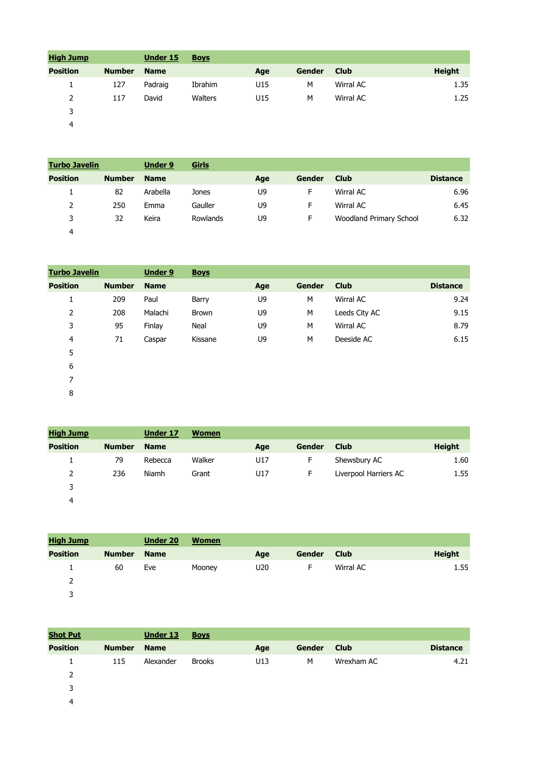| <b>High Jump</b> |               | <b>Under 15</b> | <b>Boys</b> |     |               |             |               |
|------------------|---------------|-----------------|-------------|-----|---------------|-------------|---------------|
| <b>Position</b>  | <b>Number</b> | <b>Name</b>     |             | Age | <b>Gender</b> | <b>Club</b> | <b>Height</b> |
|                  | 127           | Padraig         | Ibrahim     | U15 | М             | Wirral AC   | 1.35          |
| 2                | 117           | David           | Walters     | U15 | M             | Wirral AC   | 1.25          |
| J.               |               |                 |             |     |               |             |               |

| <b>Turbo Javelin</b> |               | <b>Under 9</b> | Girls    |     |        |                         |                 |
|----------------------|---------------|----------------|----------|-----|--------|-------------------------|-----------------|
| <b>Position</b>      | <b>Number</b> | <b>Name</b>    |          | Age | Gender | <b>Club</b>             | <b>Distance</b> |
|                      | 82            | Arabella       | Jones    | U9  | F      | Wirral AC               | 6.96            |
|                      | 250           | Emma           | Gauller  | U9  | F      | Wirral AC               | 6.45            |
| 3                    | 32            | Keira          | Rowlands | U9  | F      | Woodland Primary School | 6.32            |
| 4                    |               |                |          |     |        |                         |                 |

| <b>Turbo Javelin</b> |               | <b>Under 9</b> | <b>Boys</b> |     |               |               |                 |
|----------------------|---------------|----------------|-------------|-----|---------------|---------------|-----------------|
| <b>Position</b>      | <b>Number</b> | <b>Name</b>    |             | Age | <b>Gender</b> | <b>Club</b>   | <b>Distance</b> |
| Ŧ.                   | 209           | Paul           | Barry       | U9  | M             | Wirral AC     | 9.24            |
| 2                    | 208           | Malachi        | Brown       | U9  | M             | Leeds City AC | 9.15            |
| 3                    | 95            | Finlay         | Neal        | U9  | M             | Wirral AC     | 8.79            |
| $\overline{4}$       | 71            | Caspar         | Kissane     | U9  | M             | Deeside AC    | 6.15            |
| 5                    |               |                |             |     |               |               |                 |
| 6                    |               |                |             |     |               |               |                 |
|                      |               |                |             |     |               |               |                 |

| <b>High Jump</b> |               | <b>Under 17</b> | <b>Women</b> |     |        |                       |               |
|------------------|---------------|-----------------|--------------|-----|--------|-----------------------|---------------|
| <b>Position</b>  | <b>Number</b> | <b>Name</b>     |              | Age | Gender | <b>Club</b>           | <b>Height</b> |
| 1                | 79            | Rebecca         | Walker       | U17 | F      | Shewsbury AC          | 1.60          |
| 2                | 236           | Niamh           | Grant        | U17 | F      | Liverpool Harriers AC | 1.55          |
| 3                |               |                 |              |     |        |                       |               |
| 4                |               |                 |              |     |        |                       |               |

| <b>High Jump</b> |               | <b>Under 20</b> | <b>Women</b> |                 |               |             |               |
|------------------|---------------|-----------------|--------------|-----------------|---------------|-------------|---------------|
| <b>Position</b>  | <b>Number</b> | <b>Name</b>     |              | Age             | <b>Gender</b> | <b>Club</b> | <b>Height</b> |
|                  | 60            | Eve             | Mooney       | U <sub>20</sub> | ⊢             | Wirral AC   | 1.55          |
| 2                |               |                 |              |                 |               |             |               |
| 2                |               |                 |              |                 |               |             |               |

| <b>Shot Put</b> |               | <b>Under 13</b> | <b>Boys</b>   |     |        |             |                 |
|-----------------|---------------|-----------------|---------------|-----|--------|-------------|-----------------|
| <b>Position</b> | <b>Number</b> | <b>Name</b>     |               | Age | Gender | <b>Club</b> | <b>Distance</b> |
|                 | 115           | Alexander       | <b>Brooks</b> | U13 | M      | Wrexham AC  | 4.21            |
| 2               |               |                 |               |     |        |             |                 |
| 3               |               |                 |               |     |        |             |                 |
| 4               |               |                 |               |     |        |             |                 |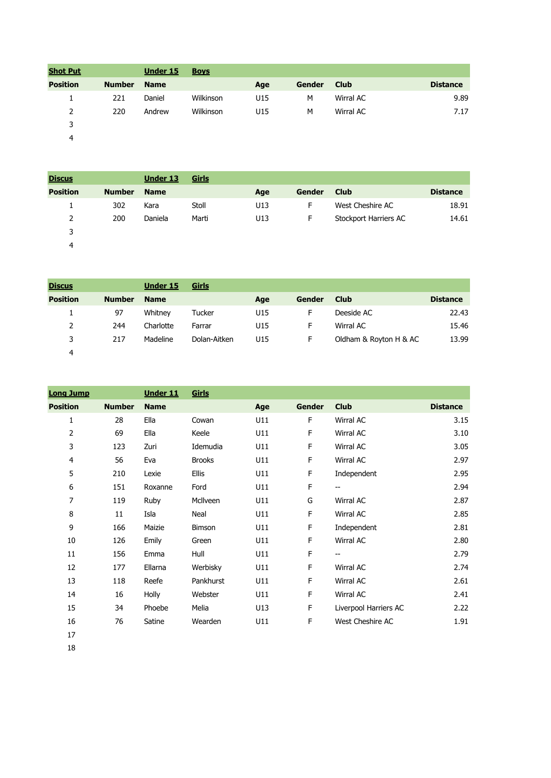| <b>Shot Put</b> |               | <b>Under 15</b> | <b>Boys</b> |     |               |             |                 |
|-----------------|---------------|-----------------|-------------|-----|---------------|-------------|-----------------|
| <b>Position</b> | <b>Number</b> | <b>Name</b>     |             | Age | <b>Gender</b> | <b>Club</b> | <b>Distance</b> |
| л.              | 221           | Daniel          | Wilkinson   | U15 | M             | Wirral AC   | 9.89            |
| 2               | 220           | Andrew          | Wilkinson   | U15 | M             | Wirral AC   | 7.17            |
| 3               |               |                 |             |     |               |             |                 |
| 4               |               |                 |             |     |               |             |                 |

| <b>Discus</b>   |               | <b>Under 13</b> | <u>Girls</u> |     |               |                       |                 |
|-----------------|---------------|-----------------|--------------|-----|---------------|-----------------------|-----------------|
| <b>Position</b> | <b>Number</b> | <b>Name</b>     |              | Age | <b>Gender</b> | <b>Club</b>           | <b>Distance</b> |
| ÷.              | 302           | Kara            | Stoll        | U13 | F             | West Cheshire AC      | 18.91           |
| 2               | 200           | Daniela         | Marti        | U13 | F             | Stockport Harriers AC | 14.61           |
| 3               |               |                 |              |     |               |                       |                 |
| 4               |               |                 |              |     |               |                       |                 |

| <b>Discus</b>   |               | Under 15    | Girls        |     |        |                        |                 |
|-----------------|---------------|-------------|--------------|-----|--------|------------------------|-----------------|
| <b>Position</b> | <b>Number</b> | <b>Name</b> |              | Age | Gender | <b>Club</b>            | <b>Distance</b> |
| л.              | 97            | Whitney     | Tucker       | U15 | F      | Deeside AC             | 22.43           |
| 2               | 244           | Charlotte   | Farrar       | U15 | F      | Wirral AC              | 15.46           |
| 3               | 217           | Madeline    | Dolan-Aitken | U15 | F      | Oldham & Royton H & AC | 13.99           |
| 4               |               |             |              |     |        |                        |                 |

| <b>Long Jump</b> |               | <b>Under 11</b> | Girls         |     |             |                          |                 |
|------------------|---------------|-----------------|---------------|-----|-------------|--------------------------|-----------------|
| <b>Position</b>  | <b>Number</b> | <b>Name</b>     |               | Age | Gender      | <b>Club</b>              | <b>Distance</b> |
| 1                | 28            | Ella            | Cowan         | U11 | F           | Wirral AC                | 3.15            |
| 2                | 69            | Ella            | Keele         | U11 | F           | Wirral AC                | 3.10            |
| 3                | 123           | Zuri            | Idemudia      | U11 | F           | Wirral AC                | 3.05            |
| 4                | 56            | Eva             | <b>Brooks</b> | U11 | F           | Wirral AC                | 2.97            |
| 5                | 210           | Lexie           | <b>Ellis</b>  | U11 | $\mathsf F$ | Independent              | 2.95            |
| 6                | 151           | Roxanne         | Ford          | U11 | F           | $\overline{\phantom{a}}$ | 2.94            |
| $\overline{7}$   | 119           | Ruby            | McIlveen      | U11 | G           | Wirral AC                | 2.87            |
| 8                | 11            | Isla            | Neal          | U11 | F           | Wirral AC                | 2.85            |
| 9                | 166           | Maizie          | Bimson        | U11 | F           | Independent              | 2.81            |
| 10               | 126           | Emily           | Green         | U11 | F           | Wirral AC                | 2.80            |
| 11               | 156           | Emma            | Hull          | U11 | F           | $\overline{\phantom{a}}$ | 2.79            |
| 12               | 177           | Ellarna         | Werbisky      | U11 | F           | Wirral AC                | 2.74            |
| 13               | 118           | Reefe           | Pankhurst     | U11 | F           | Wirral AC                | 2.61            |
| 14               | 16            | Holly           | Webster       | U11 | F           | Wirral AC                | 2.41            |
| 15               | 34            | Phoebe          | Melia         | U13 | F           | Liverpool Harriers AC    | 2.22            |
| 16               | 76            | Satine          | Wearden       | U11 | F           | West Cheshire AC         | 1.91            |
| 17               |               |                 |               |     |             |                          |                 |